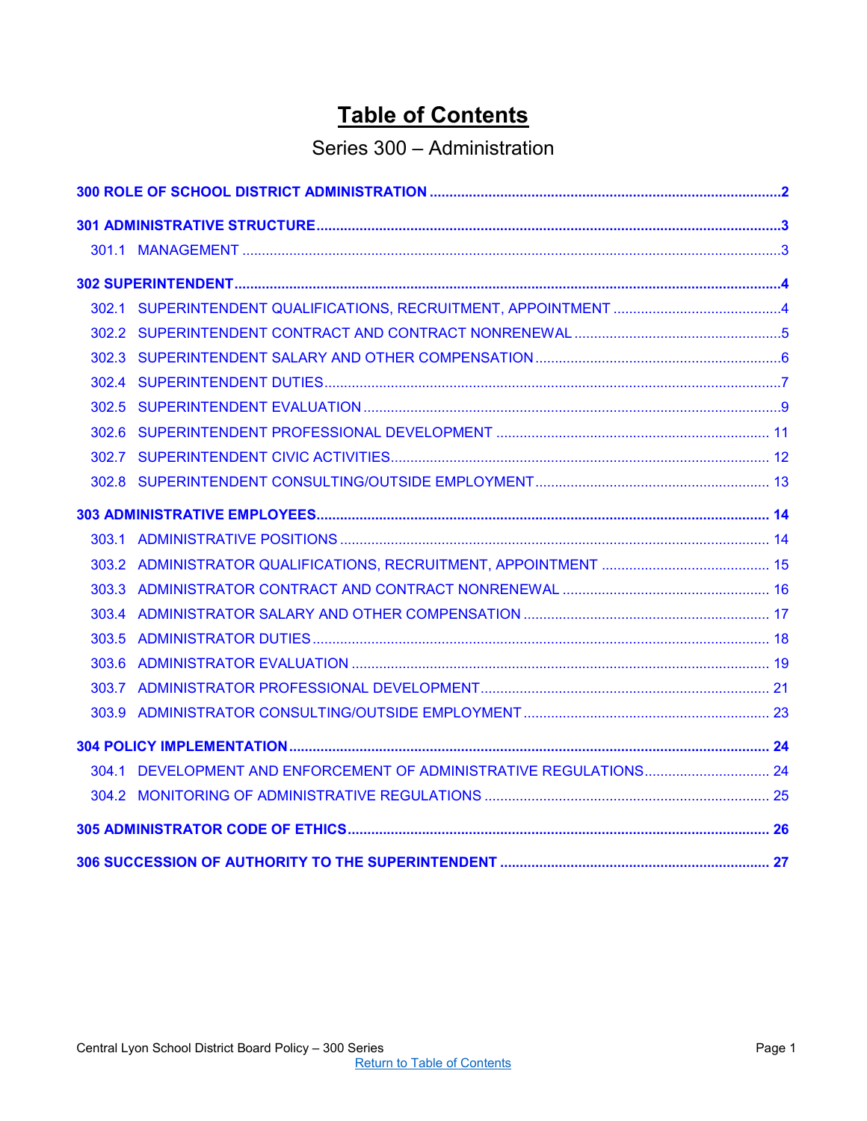# **Table of Contents**

## Series 300 – Administration

<span id="page-0-0"></span>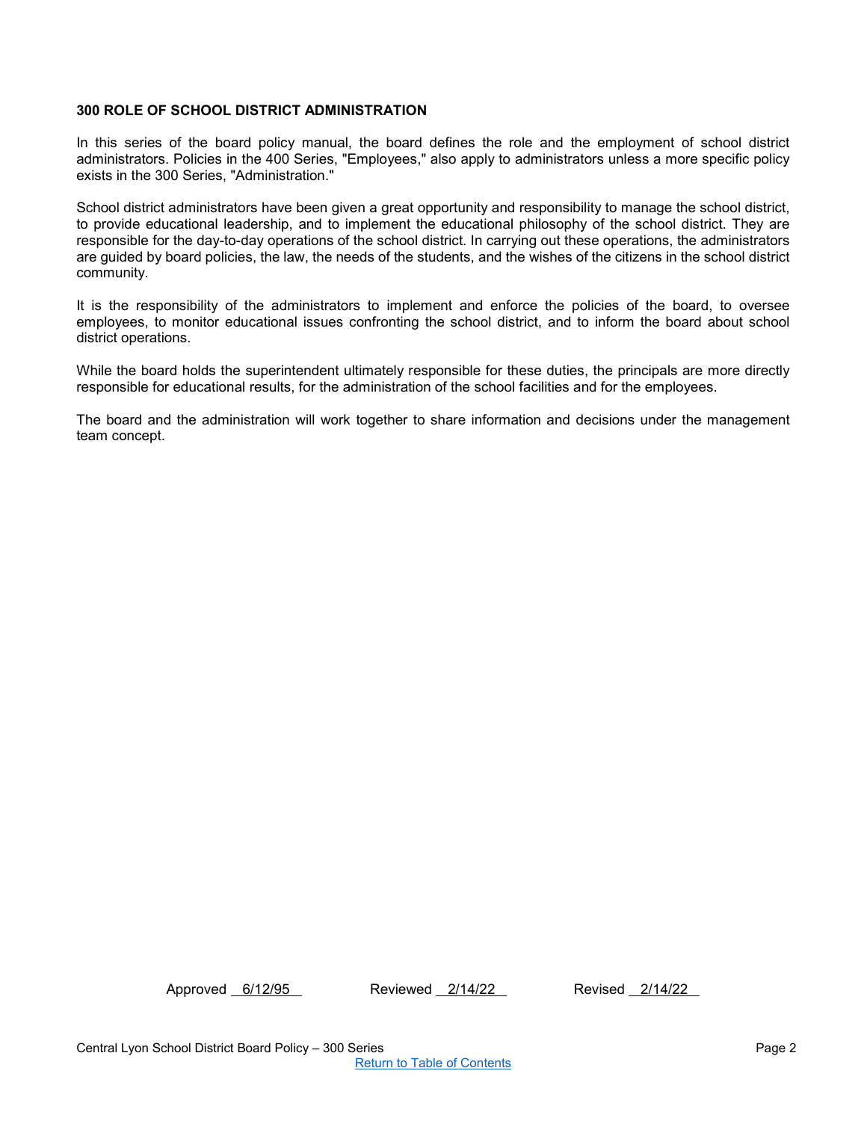## <span id="page-1-0"></span>**300 ROLE OF SCHOOL DISTRICT ADMINISTRATION**

In this series of the board policy manual, the board defines the role and the employment of school district administrators. Policies in the 400 Series, "Employees," also apply to administrators unless a more specific policy exists in the 300 Series, "Administration."

School district administrators have been given a great opportunity and responsibility to manage the school district, to provide educational leadership, and to implement the educational philosophy of the school district. They are responsible for the day-to-day operations of the school district. In carrying out these operations, the administrators are guided by board policies, the law, the needs of the students, and the wishes of the citizens in the school district community.

It is the responsibility of the administrators to implement and enforce the policies of the board, to oversee employees, to monitor educational issues confronting the school district, and to inform the board about school district operations.

While the board holds the superintendent ultimately responsible for these duties, the principals are more directly responsible for educational results, for the administration of the school facilities and for the employees.

The board and the administration will work together to share information and decisions under the management team concept.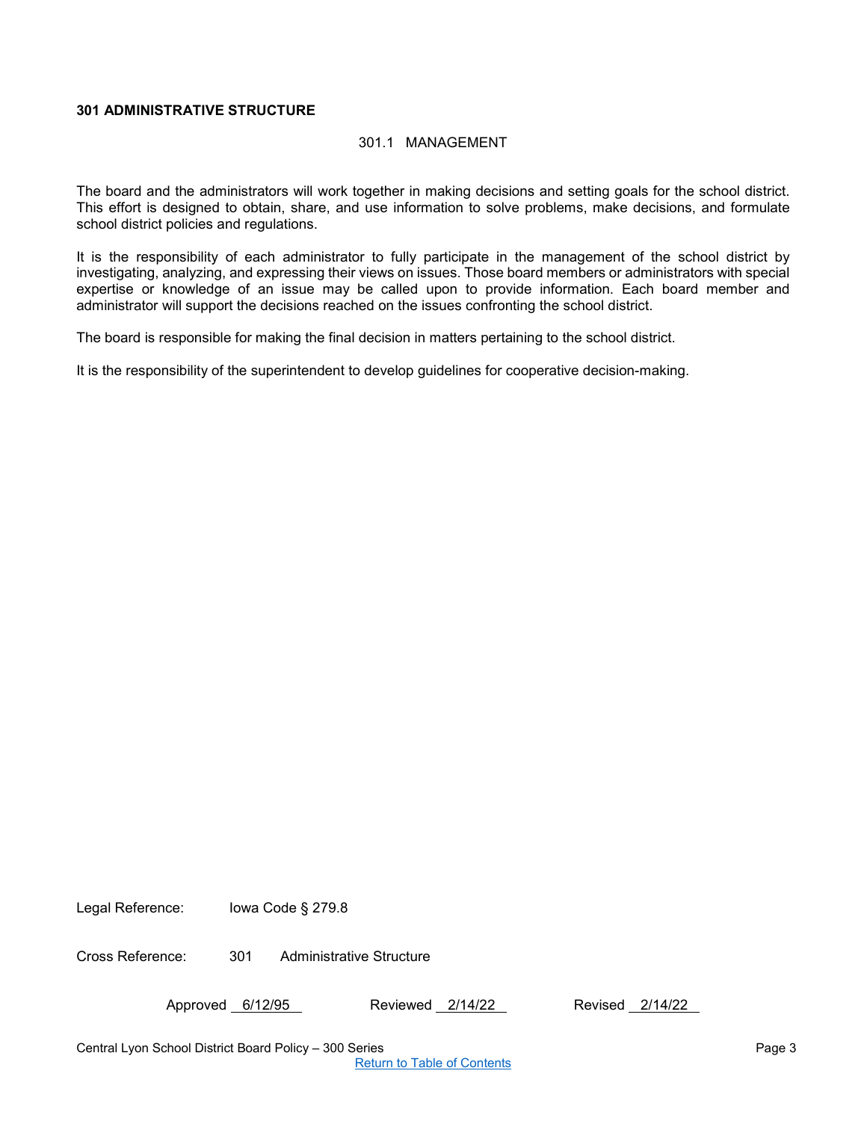## <span id="page-2-1"></span><span id="page-2-0"></span>**301 ADMINISTRATIVE STRUCTURE**

#### 301.1 MANAGEMENT

The board and the administrators will work together in making decisions and setting goals for the school district. This effort is designed to obtain, share, and use information to solve problems, make decisions, and formulate school district policies and regulations.

It is the responsibility of each administrator to fully participate in the management of the school district by investigating, analyzing, and expressing their views on issues. Those board members or administrators with special expertise or knowledge of an issue may be called upon to provide information. Each board member and administrator will support the decisions reached on the issues confronting the school district.

The board is responsible for making the final decision in matters pertaining to the school district.

It is the responsibility of the superintendent to develop guidelines for cooperative decision-making.

Legal Reference: Iowa Code § 279.8

Cross Reference: 301 Administrative Structure

Approved 6/12/95 Reviewed 2/14/22 Revised 2/14/22

Central Lyon School District Board Policy – 300 Series Page 3

[Return to Table of Contents](#page-0-0)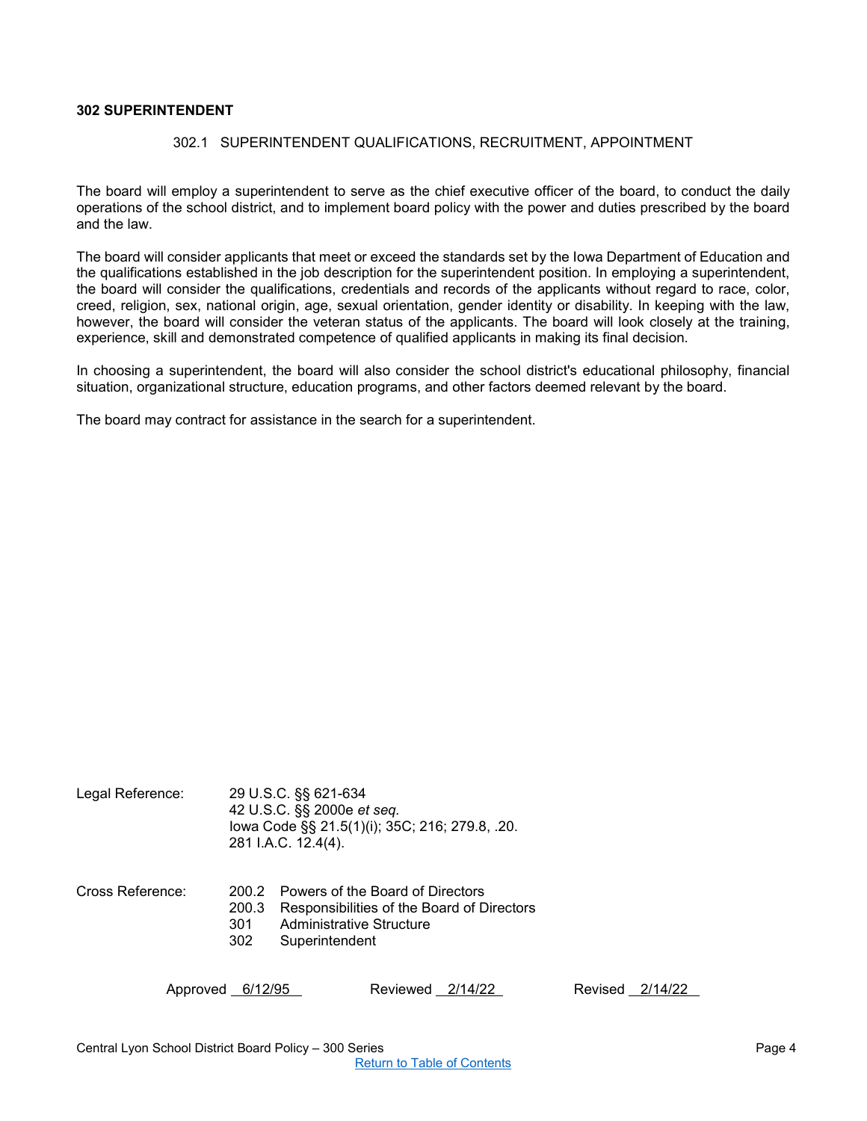## <span id="page-3-1"></span><span id="page-3-0"></span>**302 SUPERINTENDENT**

#### 302.1 SUPERINTENDENT QUALIFICATIONS, RECRUITMENT, APPOINTMENT

The board will employ a superintendent to serve as the chief executive officer of the board, to conduct the daily operations of the school district, and to implement board policy with the power and duties prescribed by the board and the law.

The board will consider applicants that meet or exceed the standards set by the Iowa Department of Education and the qualifications established in the job description for the superintendent position. In employing a superintendent, the board will consider the qualifications, credentials and records of the applicants without regard to race, color, creed, religion, sex, national origin, age, sexual orientation, gender identity or disability. In keeping with the law, however, the board will consider the veteran status of the applicants. The board will look closely at the training, experience, skill and demonstrated competence of qualified applicants in making its final decision.

In choosing a superintendent, the board will also consider the school district's educational philosophy, financial situation, organizational structure, education programs, and other factors deemed relevant by the board.

The board may contract for assistance in the search for a superintendent.

| Legal Reference: |                     | 29 U.S.C. §§ 621-634<br>42 U.S.C. §§ 2000e et seq.<br>lowa Code §§ 21.5(1)(i); 35C; 216; 279.8, .20.<br>281 I.A.C. 12.4(4).        |
|------------------|---------------------|------------------------------------------------------------------------------------------------------------------------------------|
| Cross Reference: | 200.3<br>301<br>302 | 200.2 Powers of the Board of Directors<br>Responsibilities of the Board of Directors<br>Administrative Structure<br>Superintendent |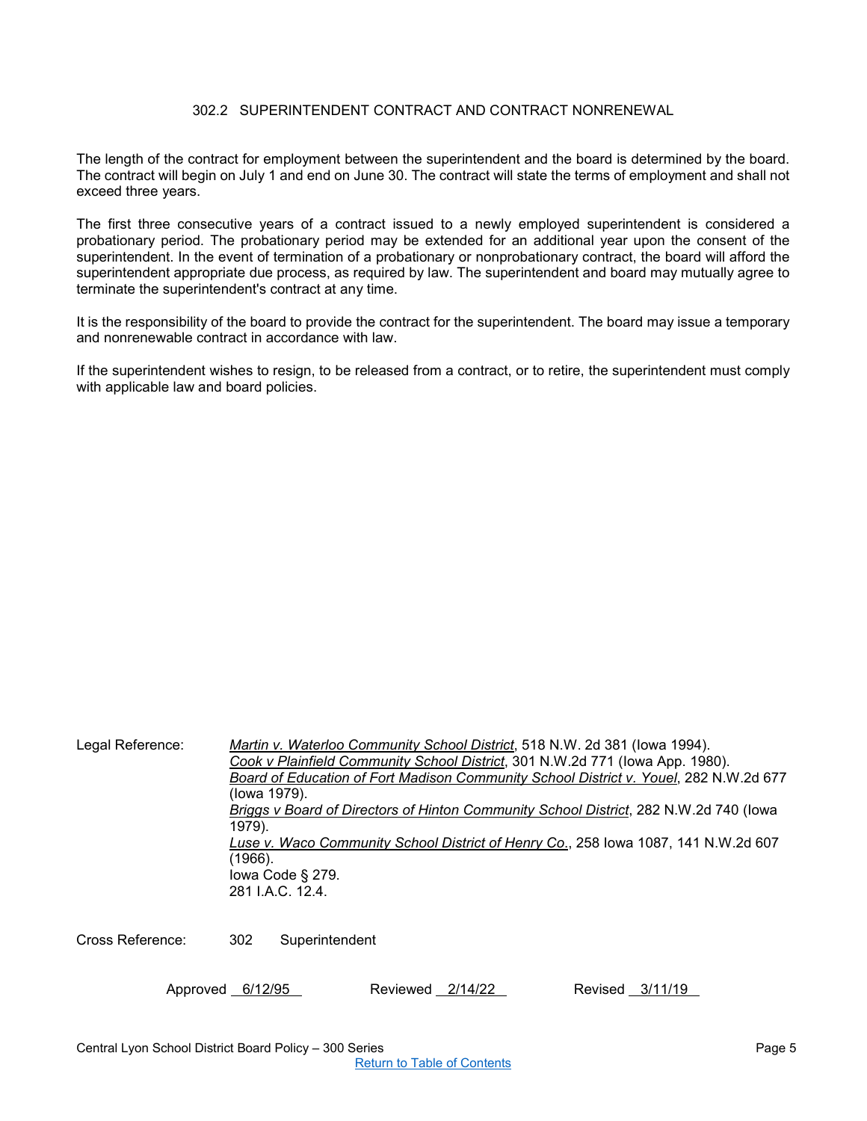## 302.2 SUPERINTENDENT CONTRACT AND CONTRACT NONRENEWAL

<span id="page-4-0"></span>The length of the contract for employment between the superintendent and the board is determined by the board. The contract will begin on July 1 and end on June 30. The contract will state the terms of employment and shall not exceed three years.

The first three consecutive years of a contract issued to a newly employed superintendent is considered a probationary period. The probationary period may be extended for an additional year upon the consent of the superintendent. In the event of termination of a probationary or nonprobationary contract, the board will afford the superintendent appropriate due process, as required by law. The superintendent and board may mutually agree to terminate the superintendent's contract at any time.

It is the responsibility of the board to provide the contract for the superintendent. The board may issue a temporary and nonrenewable contract in accordance with law.

If the superintendent wishes to resign, to be released from a contract, or to retire, the superintendent must comply with applicable law and board policies.

Legal Reference: *Martin v. Waterloo Community School District*, 518 N.W. 2d 381 (Iowa 1994). *Cook v Plainfield Community School District*, 301 N.W.2d 771 (Iowa App. 1980). *Board of Education of Fort Madison Community School District v. Youel*, 282 N.W.2d 677 (Iowa 1979). *Briggs v Board of Directors of Hinton Community School District*, 282 N.W.2d 740 (Iowa 1979). *Luse v. Waco Community School District of Henry Co*., 258 Iowa 1087, 141 N.W.2d 607 (1966). Iowa Code § 279. 281 I.A.C. 12.4

Cross Reference: 302 Superintendent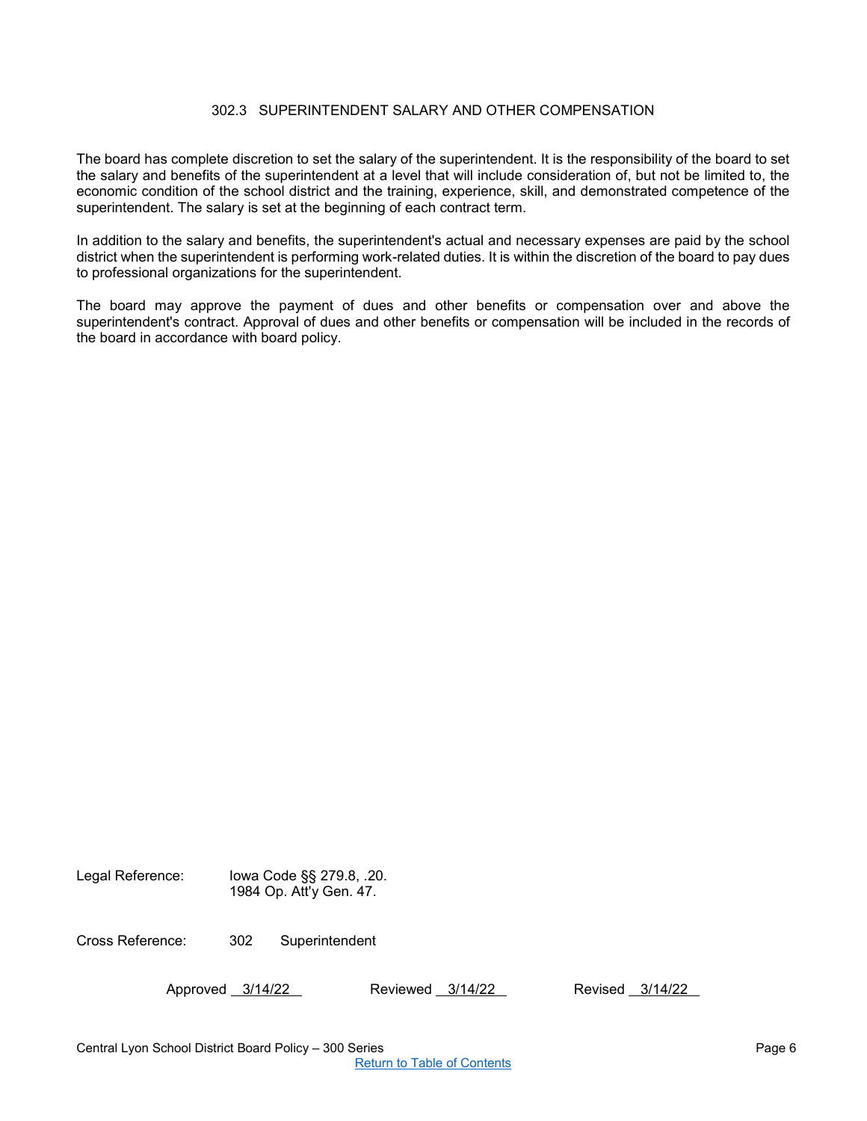## 302.3 SUPERINTENDENT SALARY AND OTHER COMPENSATION

<span id="page-5-0"></span>The board has complete discretion to set the salary of the superintendent. It is the responsibility of the board to set the salary and benefits of the superintendent at a level that will include consideration of, but not be limited to, the economic condition of the school district and the training, experience, skill, and demonstrated competence of the superintendent. The salary is set at the beginning of each contract term.

In addition to the salary and benefits, the superintendent's actual and necessary expenses are paid by the school district when the superintendent is performing work-related duties. It is within the discretion of the board to pay dues to professional organizations for the superintendent.

The board may approve the payment of dues and other benefits or compensation over and above the superintendent's contract. Approval of dues and other benefits or compensation will be included in the records of the board in accordance with board policy.

| Legal Reference: | lowa Code §§ 279.8, .20.<br>1984 Op. Att'y Gen. 47. |
|------------------|-----------------------------------------------------|
|                  |                                                     |

Cross Reference: 302 Superintendent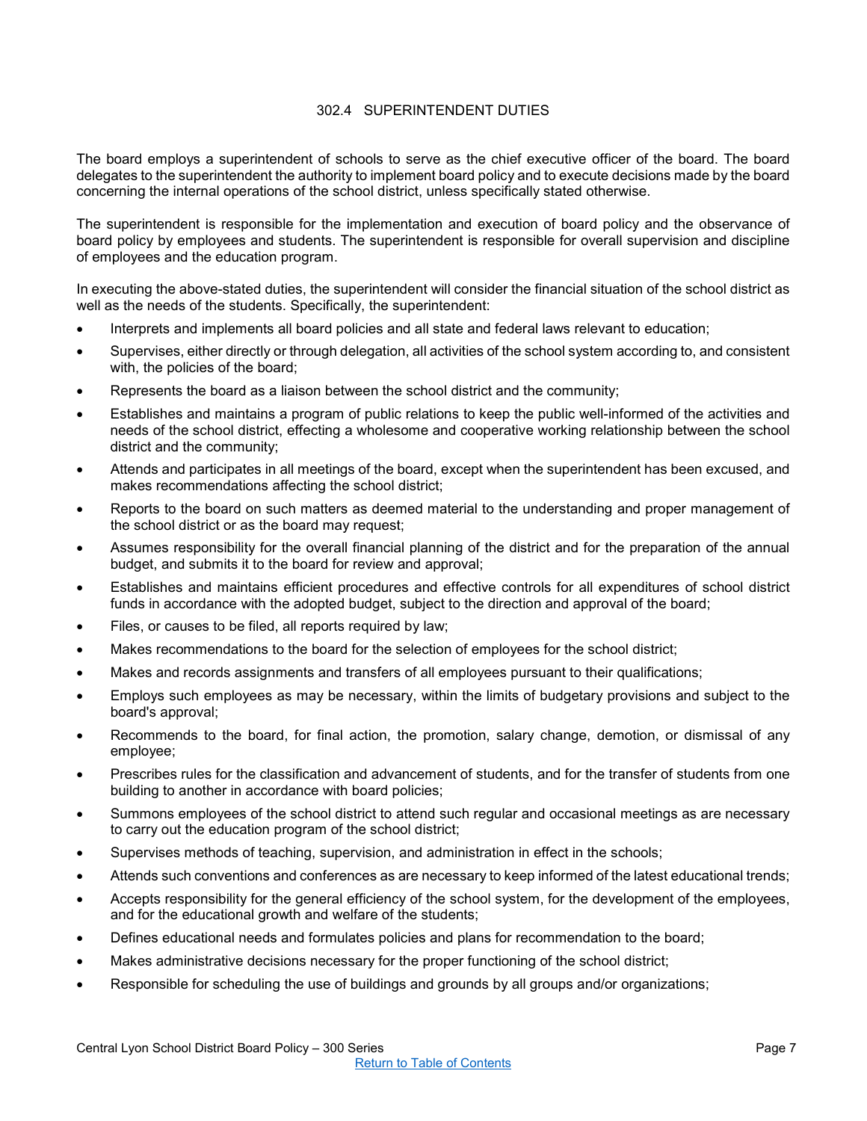## 302.4 SUPERINTENDENT DUTIES

<span id="page-6-0"></span>The board employs a superintendent of schools to serve as the chief executive officer of the board. The board delegates to the superintendent the authority to implement board policy and to execute decisions made by the board concerning the internal operations of the school district, unless specifically stated otherwise.

The superintendent is responsible for the implementation and execution of board policy and the observance of board policy by employees and students. The superintendent is responsible for overall supervision and discipline of employees and the education program.

In executing the above-stated duties, the superintendent will consider the financial situation of the school district as well as the needs of the students. Specifically, the superintendent:

- Interprets and implements all board policies and all state and federal laws relevant to education;
- Supervises, either directly or through delegation, all activities of the school system according to, and consistent with, the policies of the board;
- Represents the board as a liaison between the school district and the community;
- Establishes and maintains a program of public relations to keep the public well-informed of the activities and needs of the school district, effecting a wholesome and cooperative working relationship between the school district and the community;
- Attends and participates in all meetings of the board, except when the superintendent has been excused, and makes recommendations affecting the school district;
- Reports to the board on such matters as deemed material to the understanding and proper management of the school district or as the board may request;
- Assumes responsibility for the overall financial planning of the district and for the preparation of the annual budget, and submits it to the board for review and approval;
- Establishes and maintains efficient procedures and effective controls for all expenditures of school district funds in accordance with the adopted budget, subject to the direction and approval of the board;
- Files, or causes to be filed, all reports required by law;
- Makes recommendations to the board for the selection of employees for the school district;
- Makes and records assignments and transfers of all employees pursuant to their qualifications;
- Employs such employees as may be necessary, within the limits of budgetary provisions and subject to the board's approval;
- Recommends to the board, for final action, the promotion, salary change, demotion, or dismissal of any employee;
- Prescribes rules for the classification and advancement of students, and for the transfer of students from one building to another in accordance with board policies;
- Summons employees of the school district to attend such regular and occasional meetings as are necessary to carry out the education program of the school district;
- Supervises methods of teaching, supervision, and administration in effect in the schools;
- Attends such conventions and conferences as are necessary to keep informed of the latest educational trends;
- Accepts responsibility for the general efficiency of the school system, for the development of the employees, and for the educational growth and welfare of the students;
- Defines educational needs and formulates policies and plans for recommendation to the board;
- Makes administrative decisions necessary for the proper functioning of the school district;
- Responsible for scheduling the use of buildings and grounds by all groups and/or organizations;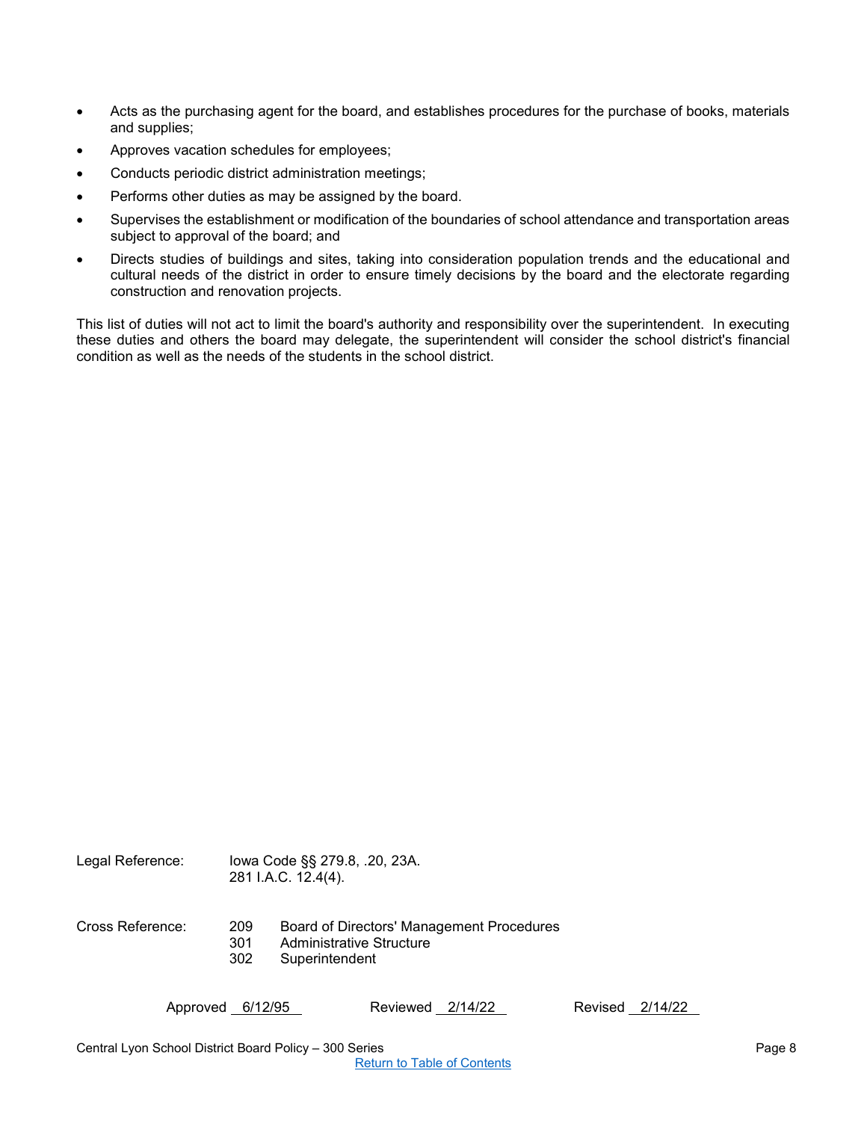- Acts as the purchasing agent for the board, and establishes procedures for the purchase of books, materials and supplies;
- Approves vacation schedules for employees;
- Conducts periodic district administration meetings;
- Performs other duties as may be assigned by the board.
- Supervises the establishment or modification of the boundaries of school attendance and transportation areas subject to approval of the board; and
- Directs studies of buildings and sites, taking into consideration population trends and the educational and cultural needs of the district in order to ensure timely decisions by the board and the electorate regarding construction and renovation projects.

This list of duties will not act to limit the board's authority and responsibility over the superintendent. In executing these duties and others the board may delegate, the superintendent will consider the school district's financial condition as well as the needs of the students in the school district.

| Legal Reference: |                   | lowa Code §§ 279.8, .20, 23A.<br>281 I.A.C. 12.4(4).                                           |
|------------------|-------------------|------------------------------------------------------------------------------------------------|
| Cross Reference: | 209<br>301<br>302 | Board of Directors' Management Procedures<br><b>Administrative Structure</b><br>Superintendent |

Approved 6/12/95 Reviewed 2/14/22 Revised 2/14/22

Central Lyon School District Board Policy – 300 Series Page 8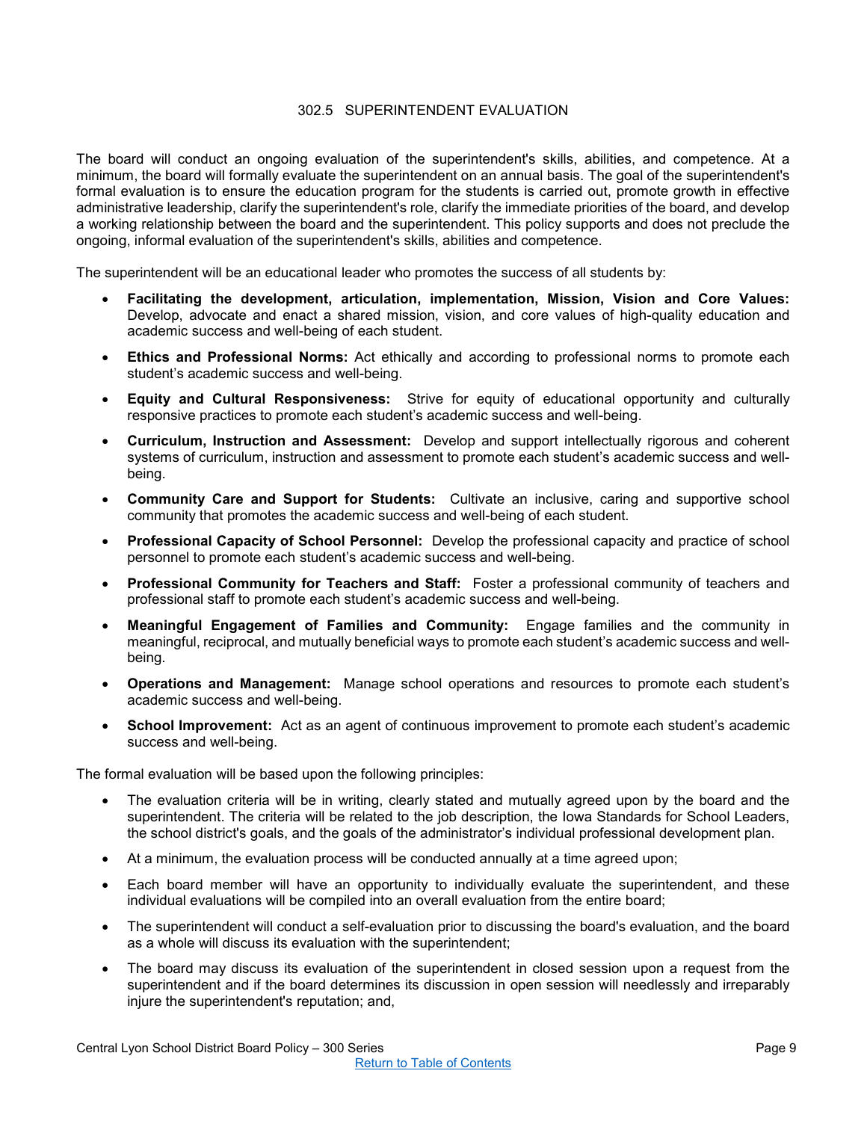## 302.5 SUPERINTENDENT EVALUATION

<span id="page-8-0"></span>The board will conduct an ongoing evaluation of the superintendent's skills, abilities, and competence. At a minimum, the board will formally evaluate the superintendent on an annual basis. The goal of the superintendent's formal evaluation is to ensure the education program for the students is carried out, promote growth in effective administrative leadership, clarify the superintendent's role, clarify the immediate priorities of the board, and develop a working relationship between the board and the superintendent. This policy supports and does not preclude the ongoing, informal evaluation of the superintendent's skills, abilities and competence.

The superintendent will be an educational leader who promotes the success of all students by:

- **Facilitating the development, articulation, implementation, Mission, Vision and Core Values:** Develop, advocate and enact a shared mission, vision, and core values of high-quality education and academic success and well-being of each student.
- **Ethics and Professional Norms:** Act ethically and according to professional norms to promote each student's academic success and well-being.
- **Equity and Cultural Responsiveness:** Strive for equity of educational opportunity and culturally responsive practices to promote each student's academic success and well-being.
- **Curriculum, Instruction and Assessment:** Develop and support intellectually rigorous and coherent systems of curriculum, instruction and assessment to promote each student's academic success and wellbeing.
- **Community Care and Support for Students:** Cultivate an inclusive, caring and supportive school community that promotes the academic success and well-being of each student.
- **Professional Capacity of School Personnel:** Develop the professional capacity and practice of school personnel to promote each student's academic success and well-being.
- **Professional Community for Teachers and Staff:** Foster a professional community of teachers and professional staff to promote each student's academic success and well-being.
- **Meaningful Engagement of Families and Community:** Engage families and the community in meaningful, reciprocal, and mutually beneficial ways to promote each student's academic success and wellbeing.
- **Operations and Management:** Manage school operations and resources to promote each student's academic success and well-being.
- **School Improvement:** Act as an agent of continuous improvement to promote each student's academic success and well-being.

The formal evaluation will be based upon the following principles:

- The evaluation criteria will be in writing, clearly stated and mutually agreed upon by the board and the superintendent. The criteria will be related to the job description, the Iowa Standards for School Leaders, the school district's goals, and the goals of the administrator's individual professional development plan.
- At a minimum, the evaluation process will be conducted annually at a time agreed upon;
- Each board member will have an opportunity to individually evaluate the superintendent, and these individual evaluations will be compiled into an overall evaluation from the entire board;
- The superintendent will conduct a self-evaluation prior to discussing the board's evaluation, and the board as a whole will discuss its evaluation with the superintendent;
- The board may discuss its evaluation of the superintendent in closed session upon a request from the superintendent and if the board determines its discussion in open session will needlessly and irreparably injure the superintendent's reputation; and,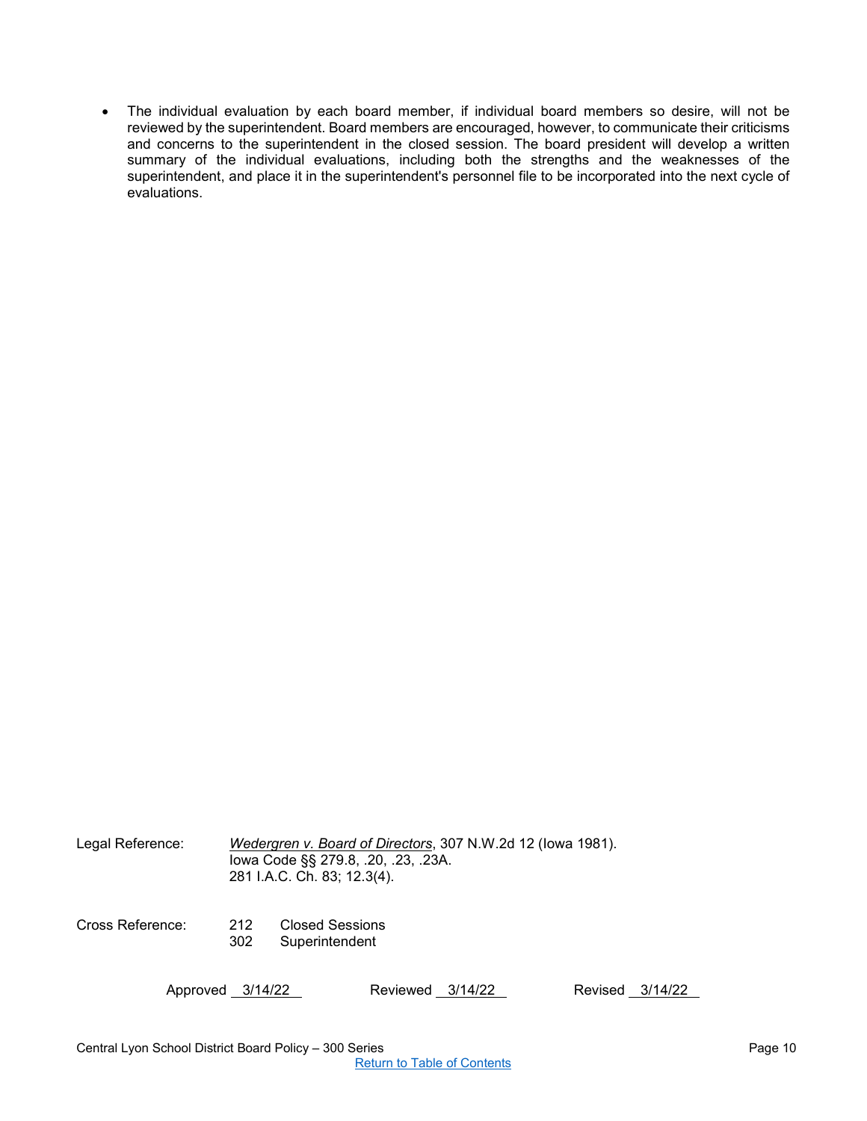• The individual evaluation by each board member, if individual board members so desire, will not be reviewed by the superintendent. Board members are encouraged, however, to communicate their criticisms and concerns to the superintendent in the closed session. The board president will develop a written summary of the individual evaluations, including both the strengths and the weaknesses of the superintendent, and place it in the superintendent's personnel file to be incorporated into the next cycle of evaluations.

| Legal Reference: | Wedergren v. Board of Directors, 307 N.W.2d 12 (lowa 1981).<br>lowa Code §§ 279.8, .20, .23, .23A.<br>281 I.A.C. Ch. 83; 12.3(4). |                                   |                  |  |         |  |         |
|------------------|-----------------------------------------------------------------------------------------------------------------------------------|-----------------------------------|------------------|--|---------|--|---------|
| Cross Reference: | 212<br>302                                                                                                                        | Closed Sessions<br>Superintendent |                  |  |         |  |         |
| Approved 3/14/22 |                                                                                                                                   |                                   | Reviewed 3/14/22 |  | Revised |  | 3/14/22 |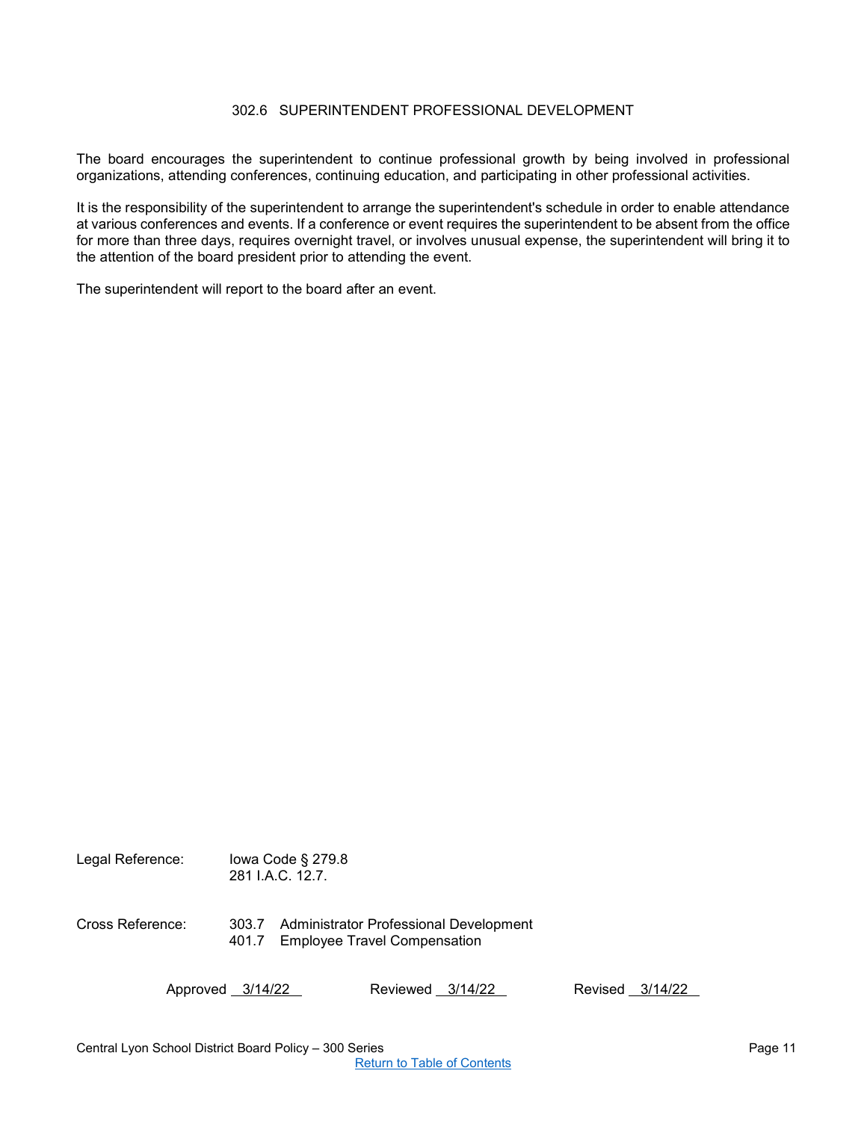## 302.6 SUPERINTENDENT PROFESSIONAL DEVELOPMENT

<span id="page-10-0"></span>The board encourages the superintendent to continue professional growth by being involved in professional organizations, attending conferences, continuing education, and participating in other professional activities.

It is the responsibility of the superintendent to arrange the superintendent's schedule in order to enable attendance at various conferences and events. If a conference or event requires the superintendent to be absent from the office for more than three days, requires overnight travel, or involves unusual expense, the superintendent will bring it to the attention of the board president prior to attending the event.

The superintendent will report to the board after an event.

| Legal Reference: | lowa Code § 279.8<br>281 I.A.C. 12.7. |  |                                                                               |         |         |  |
|------------------|---------------------------------------|--|-------------------------------------------------------------------------------|---------|---------|--|
| Cross Reference: | 303.7<br>401.7                        |  | Administrator Professional Development<br><b>Employee Travel Compensation</b> |         |         |  |
|                  | Approved 3/14/22                      |  | Reviewed 3/14/22                                                              | Revised | 3/14/22 |  |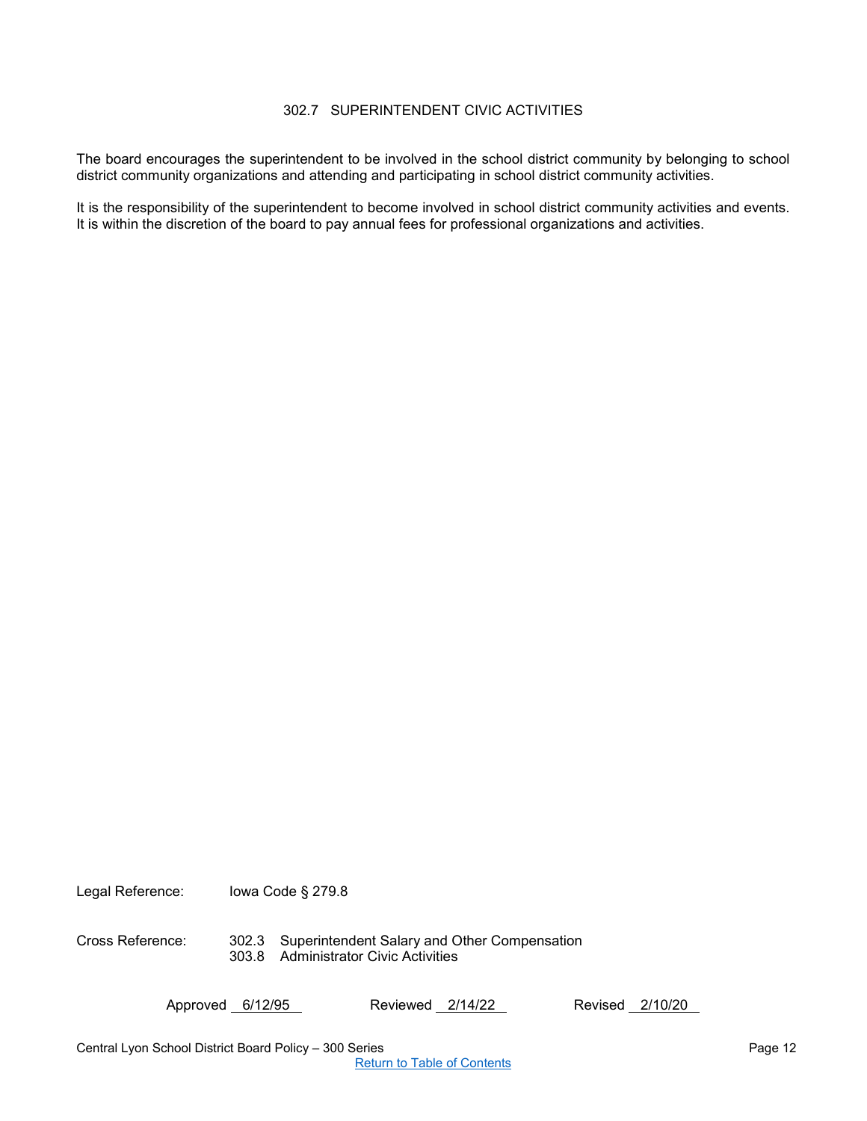## 302.7 SUPERINTENDENT CIVIC ACTIVITIES

<span id="page-11-0"></span>The board encourages the superintendent to be involved in the school district community by belonging to school district community organizations and attending and participating in school district community activities.

It is the responsibility of the superintendent to become involved in school district community activities and events. It is within the discretion of the board to pay annual fees for professional organizations and activities.

Legal Reference: Iowa Code § 279.8

Cross Reference: 302.3 Superintendent Salary and Other Compensation 303.8 Administrator Civic Activities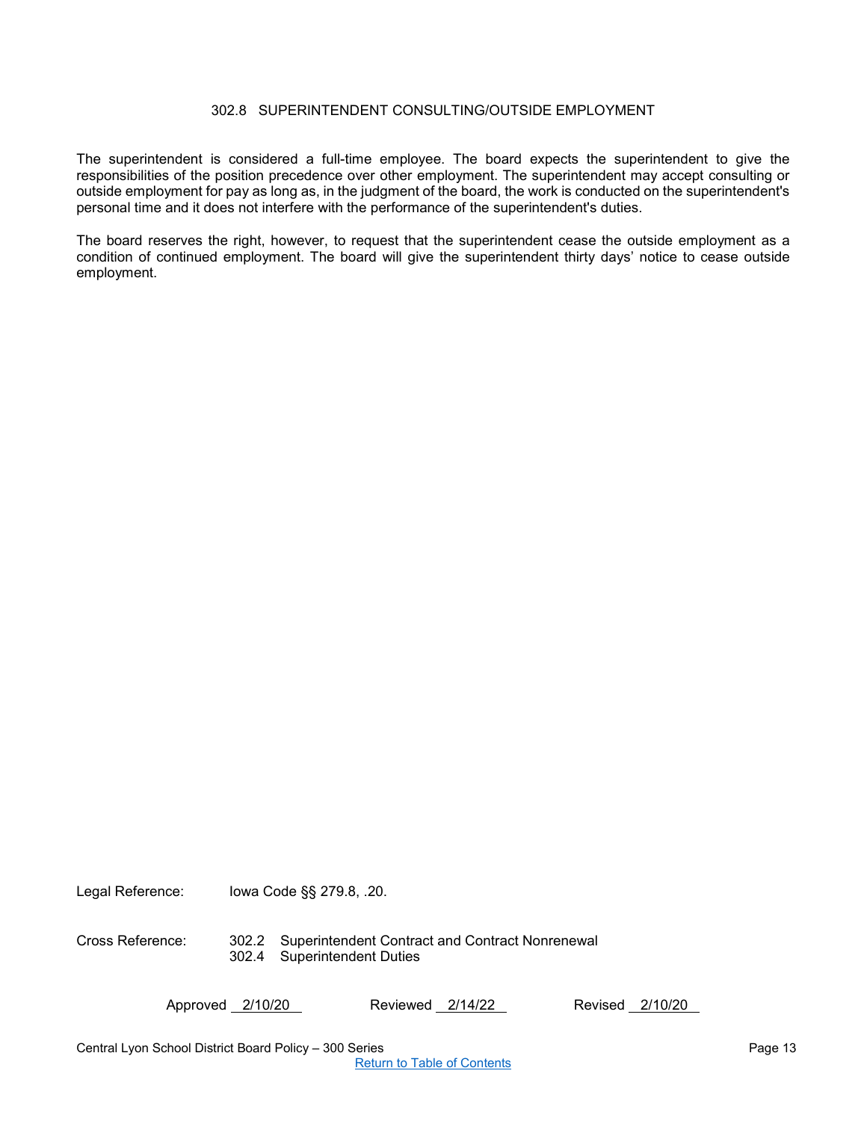## 302.8 SUPERINTENDENT CONSULTING/OUTSIDE EMPLOYMENT

<span id="page-12-0"></span>The superintendent is considered a full-time employee. The board expects the superintendent to give the responsibilities of the position precedence over other employment. The superintendent may accept consulting or outside employment for pay as long as, in the judgment of the board, the work is conducted on the superintendent's personal time and it does not interfere with the performance of the superintendent's duties.

The board reserves the right, however, to request that the superintendent cease the outside employment as a condition of continued employment. The board will give the superintendent thirty days' notice to cease outside employment.

Legal Reference: Iowa Code §§ 279.8, .20.

Cross Reference: 302.2 Superintendent Contract and Contract Nonrenewal 302.4 Superintendent Duties

Approved 2/10/20 Reviewed 2/14/22 Revised 2/10/20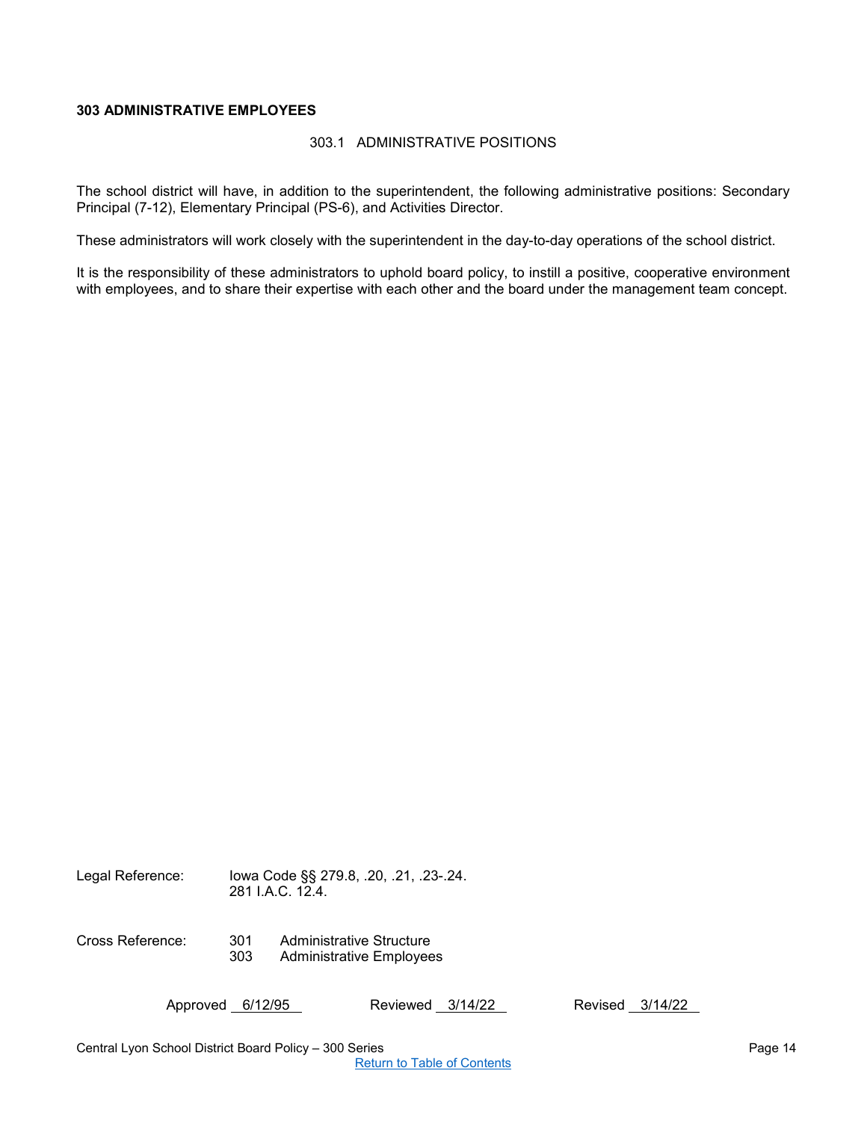## <span id="page-13-1"></span><span id="page-13-0"></span>**303 ADMINISTRATIVE EMPLOYEES**

#### 303.1 ADMINISTRATIVE POSITIONS

The school district will have, in addition to the superintendent, the following administrative positions: Secondary Principal (7-12), Elementary Principal (PS-6), and Activities Director.

These administrators will work closely with the superintendent in the day-to-day operations of the school district.

It is the responsibility of these administrators to uphold board policy, to instill a positive, cooperative environment with employees, and to share their expertise with each other and the board under the management team concept.

Legal Reference: Iowa Code §§ 279.8, .20, .21, .23-.24. 281 I.A.C. 12.4.

Cross Reference: 301 Administrative Structure 303 Administrative Employees

Approved 6/12/95 Reviewed 3/14/22 Revised 3/14/22

Central Lyon School District Board Policy – 300 Series Page 14 November 2006 14

[Return to Table of Contents](#page-0-0)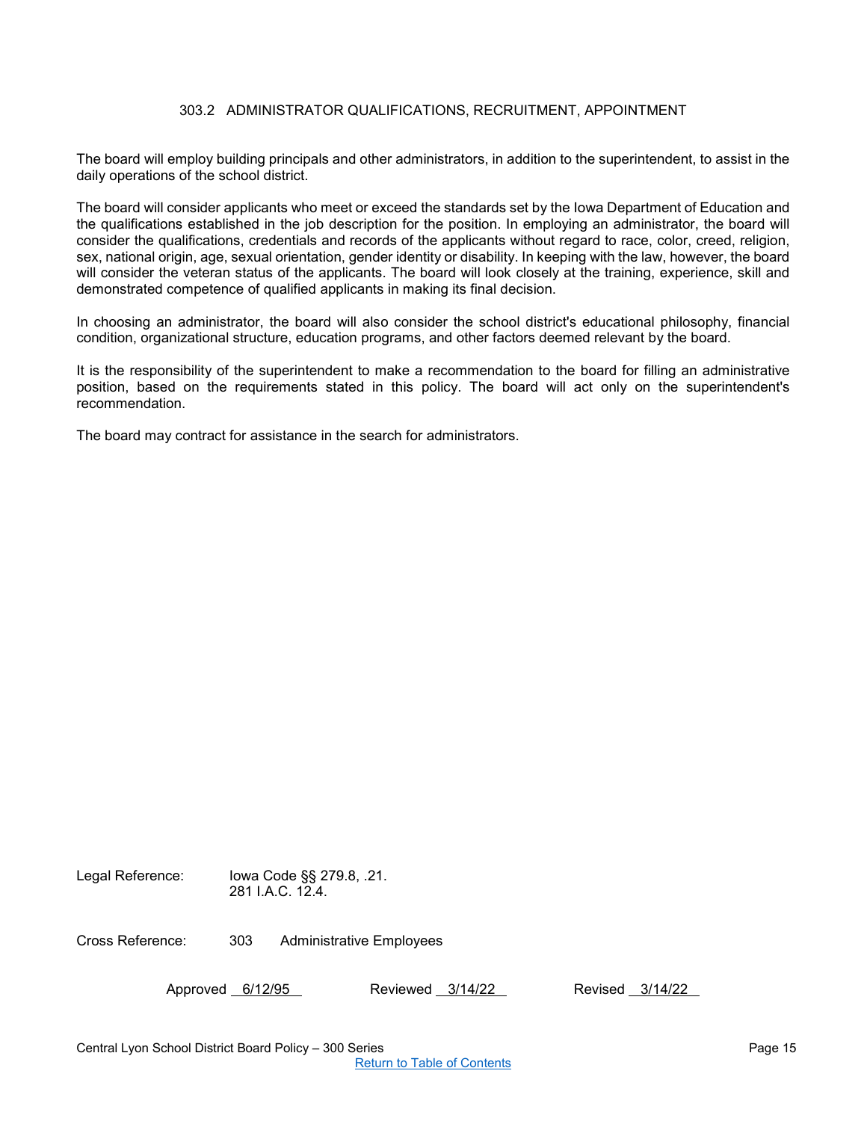## 303.2 ADMINISTRATOR QUALIFICATIONS, RECRUITMENT, APPOINTMENT

<span id="page-14-0"></span>The board will employ building principals and other administrators, in addition to the superintendent, to assist in the daily operations of the school district.

The board will consider applicants who meet or exceed the standards set by the Iowa Department of Education and the qualifications established in the job description for the position. In employing an administrator, the board will consider the qualifications, credentials and records of the applicants without regard to race, color, creed, religion, sex, national origin, age, sexual orientation, gender identity or disability. In keeping with the law, however, the board will consider the veteran status of the applicants. The board will look closely at the training, experience, skill and demonstrated competence of qualified applicants in making its final decision.

In choosing an administrator, the board will also consider the school district's educational philosophy, financial condition, organizational structure, education programs, and other factors deemed relevant by the board.

It is the responsibility of the superintendent to make a recommendation to the board for filling an administrative position, based on the requirements stated in this policy. The board will act only on the superintendent's recommendation.

The board may contract for assistance in the search for administrators.

Legal Reference: Iowa Code §§ 279.8, .21. 281 I.A.C. 12.4.

Cross Reference: 303 Administrative Employees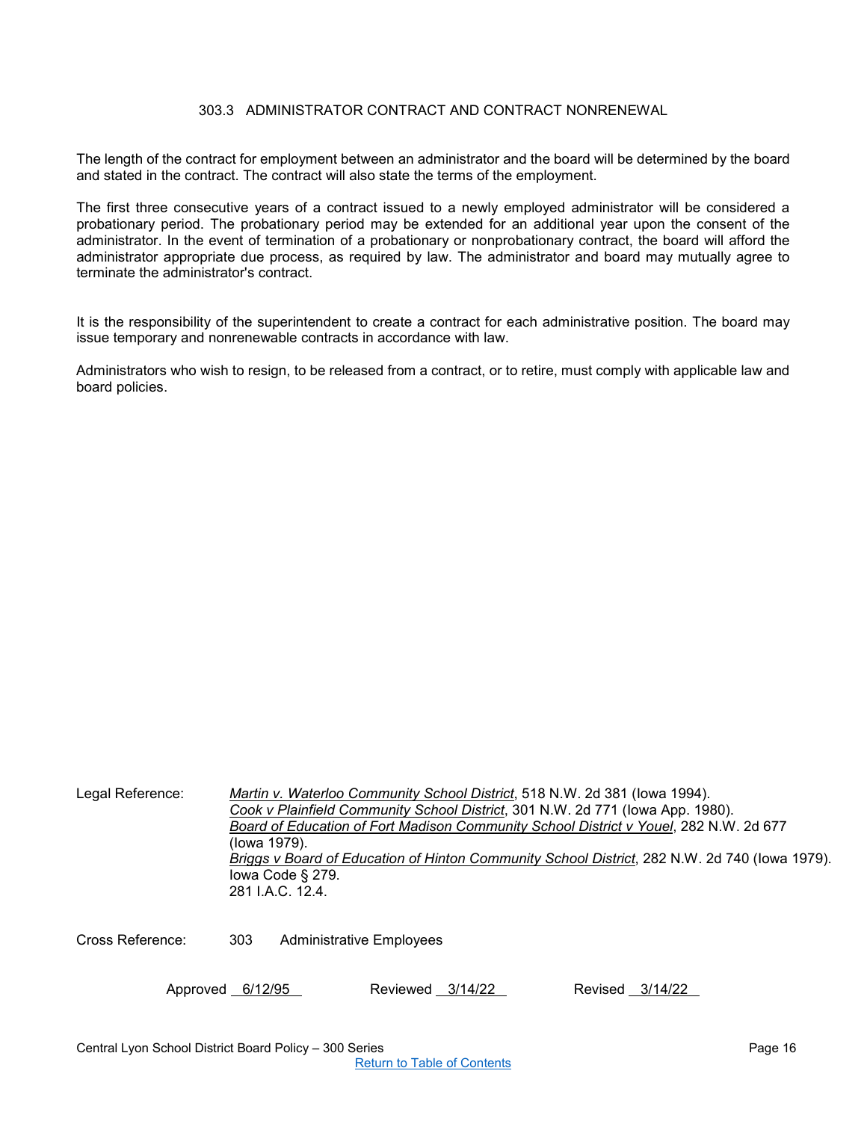## 303.3 ADMINISTRATOR CONTRACT AND CONTRACT NONRENEWAL

<span id="page-15-0"></span>The length of the contract for employment between an administrator and the board will be determined by the board and stated in the contract. The contract will also state the terms of the employment.

The first three consecutive years of a contract issued to a newly employed administrator will be considered a probationary period. The probationary period may be extended for an additional year upon the consent of the administrator. In the event of termination of a probationary or nonprobationary contract, the board will afford the administrator appropriate due process, as required by law. The administrator and board may mutually agree to terminate the administrator's contract.

It is the responsibility of the superintendent to create a contract for each administrative position. The board may issue temporary and nonrenewable contracts in accordance with law.

Administrators who wish to resign, to be released from a contract, or to retire, must comply with applicable law and board policies.

| Legal Reference: | Martin v. Waterloo Community School District, 518 N.W. 2d 381 (lowa 1994).                    |
|------------------|-----------------------------------------------------------------------------------------------|
|                  | Cook v Plainfield Community School District, 301 N.W. 2d 771 (lowa App. 1980).                |
|                  | Board of Education of Fort Madison Community School District v Youel, 282 N.W. 2d 677         |
|                  | (lowa 1979).                                                                                  |
|                  | Briggs v Board of Education of Hinton Community School District, 282 N.W. 2d 740 (lowa 1979). |
|                  | lowa Code $\S$ 279.                                                                           |
|                  | 281 J.A.C. 12.4.                                                                              |
|                  |                                                                                               |
|                  |                                                                                               |

Cross Reference: 303 Administrative Employees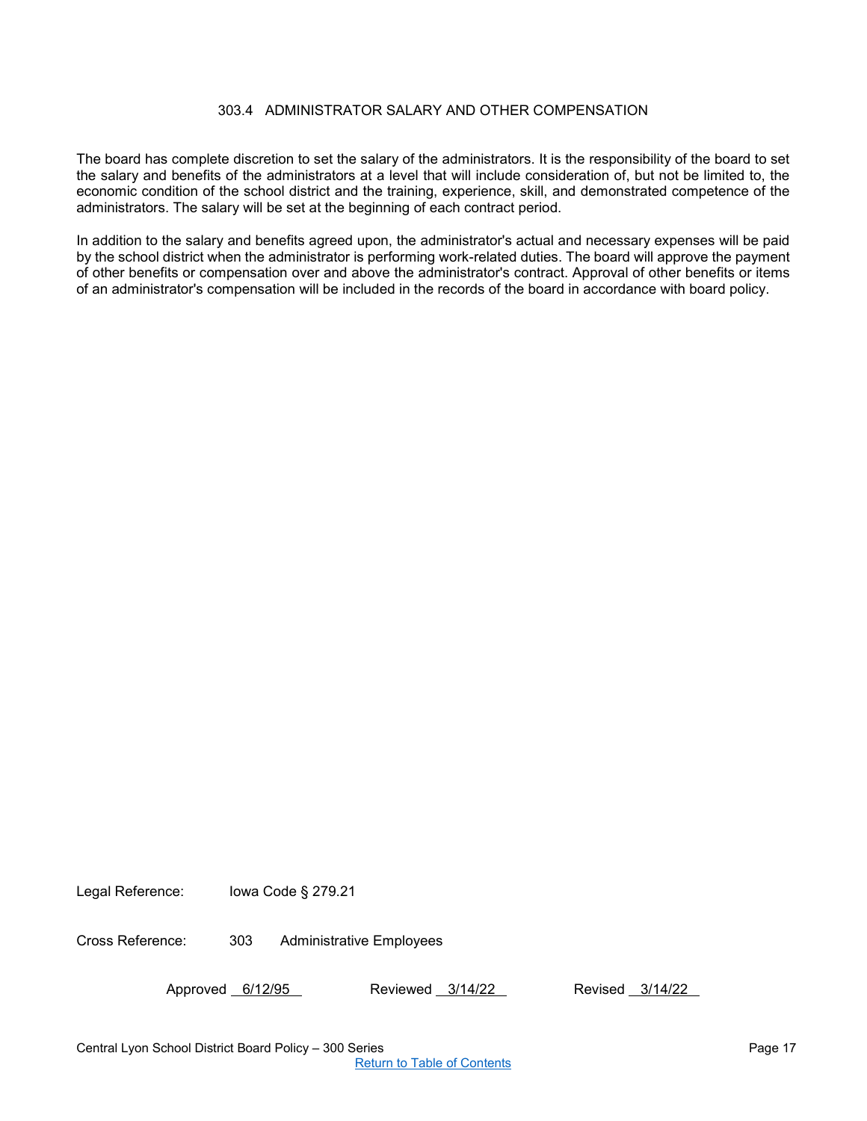## 303.4 ADMINISTRATOR SALARY AND OTHER COMPENSATION

<span id="page-16-0"></span>The board has complete discretion to set the salary of the administrators. It is the responsibility of the board to set the salary and benefits of the administrators at a level that will include consideration of, but not be limited to, the economic condition of the school district and the training, experience, skill, and demonstrated competence of the administrators. The salary will be set at the beginning of each contract period.

In addition to the salary and benefits agreed upon, the administrator's actual and necessary expenses will be paid by the school district when the administrator is performing work-related duties. The board will approve the payment of other benefits or compensation over and above the administrator's contract. Approval of other benefits or items of an administrator's compensation will be included in the records of the board in accordance with board policy.

Legal Reference: Iowa Code § 279.21

Cross Reference: 303 Administrative Employees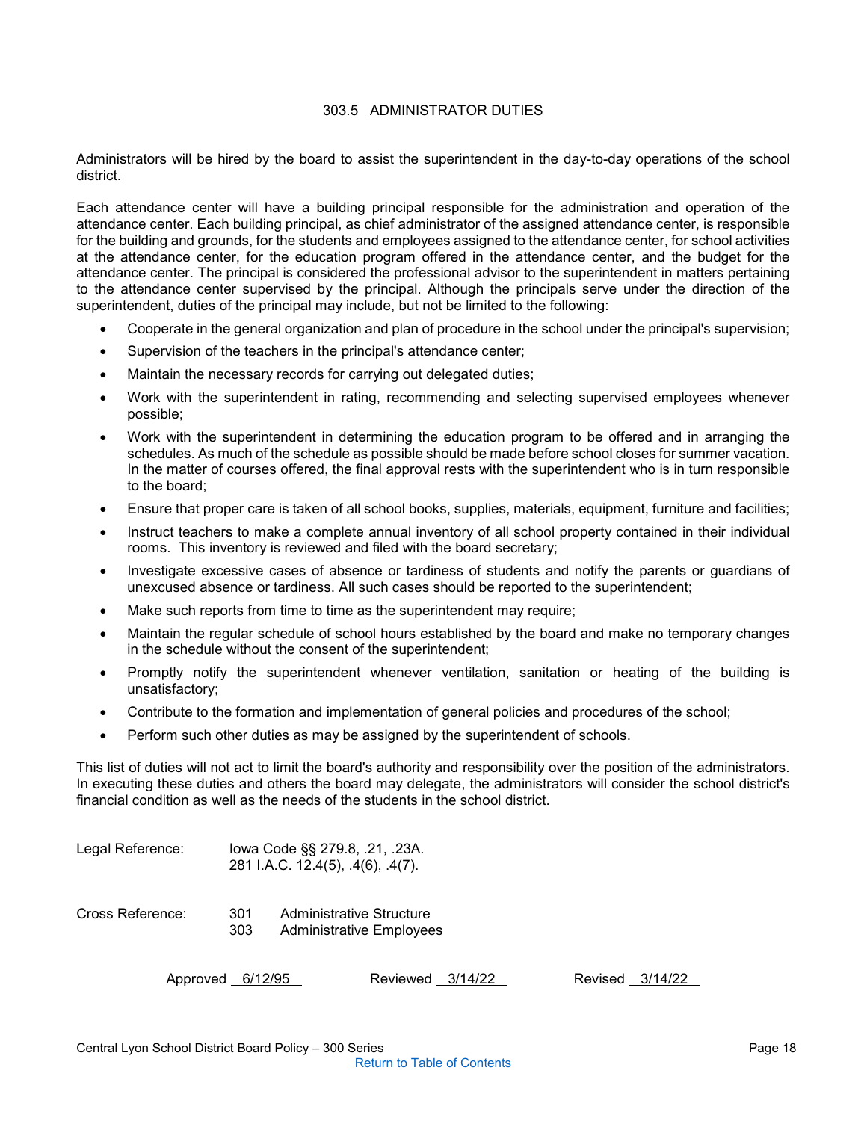## 303.5 ADMINISTRATOR DUTIES

<span id="page-17-0"></span>Administrators will be hired by the board to assist the superintendent in the day-to-day operations of the school district.

Each attendance center will have a building principal responsible for the administration and operation of the attendance center. Each building principal, as chief administrator of the assigned attendance center, is responsible for the building and grounds, for the students and employees assigned to the attendance center, for school activities at the attendance center, for the education program offered in the attendance center, and the budget for the attendance center. The principal is considered the professional advisor to the superintendent in matters pertaining to the attendance center supervised by the principal. Although the principals serve under the direction of the superintendent, duties of the principal may include, but not be limited to the following:

- Cooperate in the general organization and plan of procedure in the school under the principal's supervision;
- Supervision of the teachers in the principal's attendance center;
- Maintain the necessary records for carrying out delegated duties;
- Work with the superintendent in rating, recommending and selecting supervised employees whenever possible;
- Work with the superintendent in determining the education program to be offered and in arranging the schedules. As much of the schedule as possible should be made before school closes for summer vacation. In the matter of courses offered, the final approval rests with the superintendent who is in turn responsible to the board;
- Ensure that proper care is taken of all school books, supplies, materials, equipment, furniture and facilities;
- Instruct teachers to make a complete annual inventory of all school property contained in their individual rooms. This inventory is reviewed and filed with the board secretary;
- Investigate excessive cases of absence or tardiness of students and notify the parents or guardians of unexcused absence or tardiness. All such cases should be reported to the superintendent;
- Make such reports from time to time as the superintendent may require:
- Maintain the regular schedule of school hours established by the board and make no temporary changes in the schedule without the consent of the superintendent;
- Promptly notify the superintendent whenever ventilation, sanitation or heating of the building is unsatisfactory;
- Contribute to the formation and implementation of general policies and procedures of the school;
- Perform such other duties as may be assigned by the superintendent of schools.

This list of duties will not act to limit the board's authority and responsibility over the position of the administrators. In executing these duties and others the board may delegate, the administrators will consider the school district's financial condition as well as the needs of the students in the school district.

| Legal Reference: | lowa Code §§ 279.8, .21, .23A.<br>281 I.A.C. 12.4(5), .4(6), .4(7). |  |                                                      |         |         |  |         |
|------------------|---------------------------------------------------------------------|--|------------------------------------------------------|---------|---------|--|---------|
| Cross Reference: | 301<br>303                                                          |  | Administrative Structure<br>Administrative Employees |         |         |  |         |
| Approved         | 6/12/95                                                             |  | Reviewed                                             | 3/14/22 | Revised |  | 3/14/22 |

| Apploved 0/12/90 | <b>NEVIEWEY JITHILL</b> | <b>NEVISEY</b> 0/14/2 |  |
|------------------|-------------------------|-----------------------|--|
|                  |                         |                       |  |
|                  |                         |                       |  |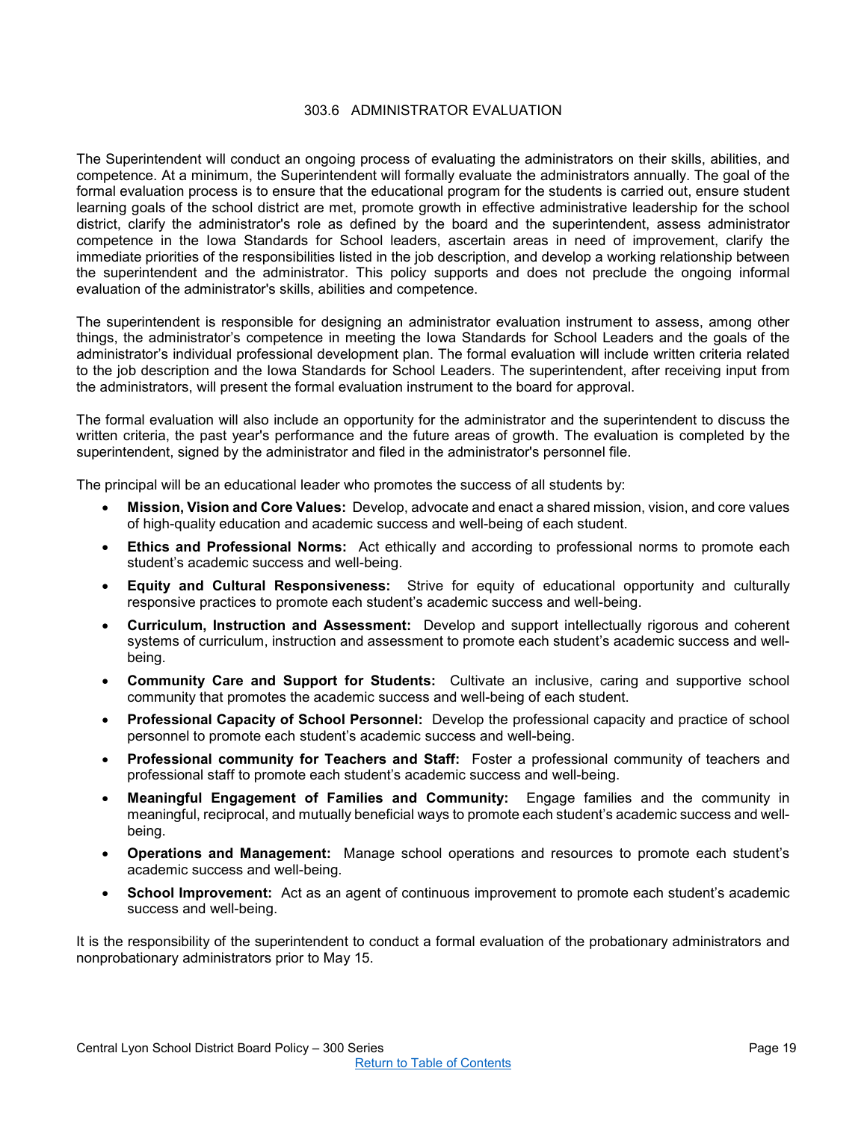## 303.6 ADMINISTRATOR EVALUATION

<span id="page-18-0"></span>The Superintendent will conduct an ongoing process of evaluating the administrators on their skills, abilities, and competence. At a minimum, the Superintendent will formally evaluate the administrators annually. The goal of the formal evaluation process is to ensure that the educational program for the students is carried out, ensure student learning goals of the school district are met, promote growth in effective administrative leadership for the school district, clarify the administrator's role as defined by the board and the superintendent, assess administrator competence in the Iowa Standards for School leaders, ascertain areas in need of improvement, clarify the immediate priorities of the responsibilities listed in the job description, and develop a working relationship between the superintendent and the administrator. This policy supports and does not preclude the ongoing informal evaluation of the administrator's skills, abilities and competence.

The superintendent is responsible for designing an administrator evaluation instrument to assess, among other things, the administrator's competence in meeting the Iowa Standards for School Leaders and the goals of the administrator's individual professional development plan. The formal evaluation will include written criteria related to the job description and the Iowa Standards for School Leaders. The superintendent, after receiving input from the administrators, will present the formal evaluation instrument to the board for approval.

The formal evaluation will also include an opportunity for the administrator and the superintendent to discuss the written criteria, the past year's performance and the future areas of growth. The evaluation is completed by the superintendent, signed by the administrator and filed in the administrator's personnel file.

The principal will be an educational leader who promotes the success of all students by:

- **Mission, Vision and Core Values:** Develop, advocate and enact a shared mission, vision, and core values of high-quality education and academic success and well-being of each student.
- **Ethics and Professional Norms:** Act ethically and according to professional norms to promote each student's academic success and well-being.
- **Equity and Cultural Responsiveness:** Strive for equity of educational opportunity and culturally responsive practices to promote each student's academic success and well-being.
- **Curriculum, Instruction and Assessment:** Develop and support intellectually rigorous and coherent systems of curriculum, instruction and assessment to promote each student's academic success and wellbeing.
- **Community Care and Support for Students:** Cultivate an inclusive, caring and supportive school community that promotes the academic success and well-being of each student.
- **Professional Capacity of School Personnel:** Develop the professional capacity and practice of school personnel to promote each student's academic success and well-being.
- **Professional community for Teachers and Staff:** Foster a professional community of teachers and professional staff to promote each student's academic success and well-being.
- **Meaningful Engagement of Families and Community:** Engage families and the community in meaningful, reciprocal, and mutually beneficial ways to promote each student's academic success and wellbeing.
- **Operations and Management:** Manage school operations and resources to promote each student's academic success and well-being.
- **School Improvement:** Act as an agent of continuous improvement to promote each student's academic success and well-being.

It is the responsibility of the superintendent to conduct a formal evaluation of the probationary administrators and nonprobationary administrators prior to May 15.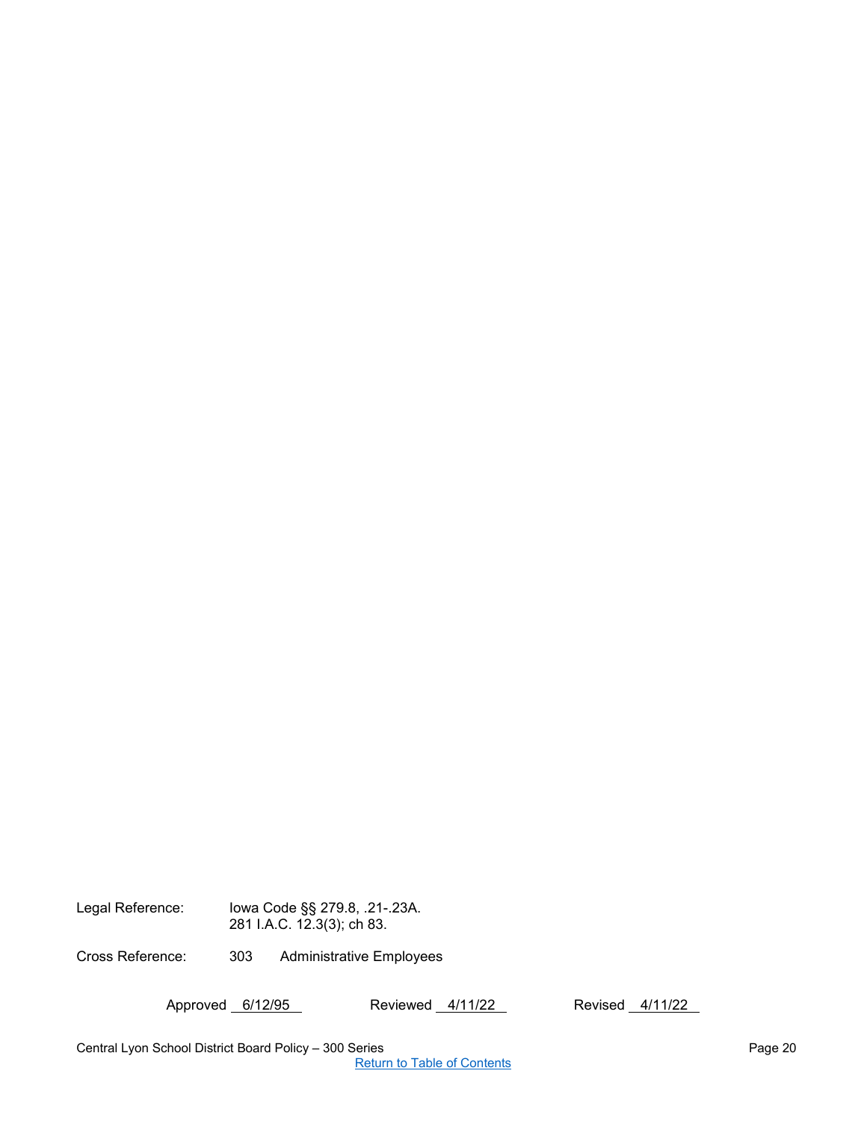Legal Reference: Iowa Code §§ 279.8, .21-.23A. 281 I.A.C. 12.3(3); ch 83.

Cross Reference: 303 Administrative Employees

Approved 6/12/95 Reviewed 4/11/22 Revised 4/11/22

Central Lyon School District Board Policy – 300 Series **Page 20** Assessment Central Lyon School District Board Policy – 300 Series

[Return to Table of Contents](#page-0-0)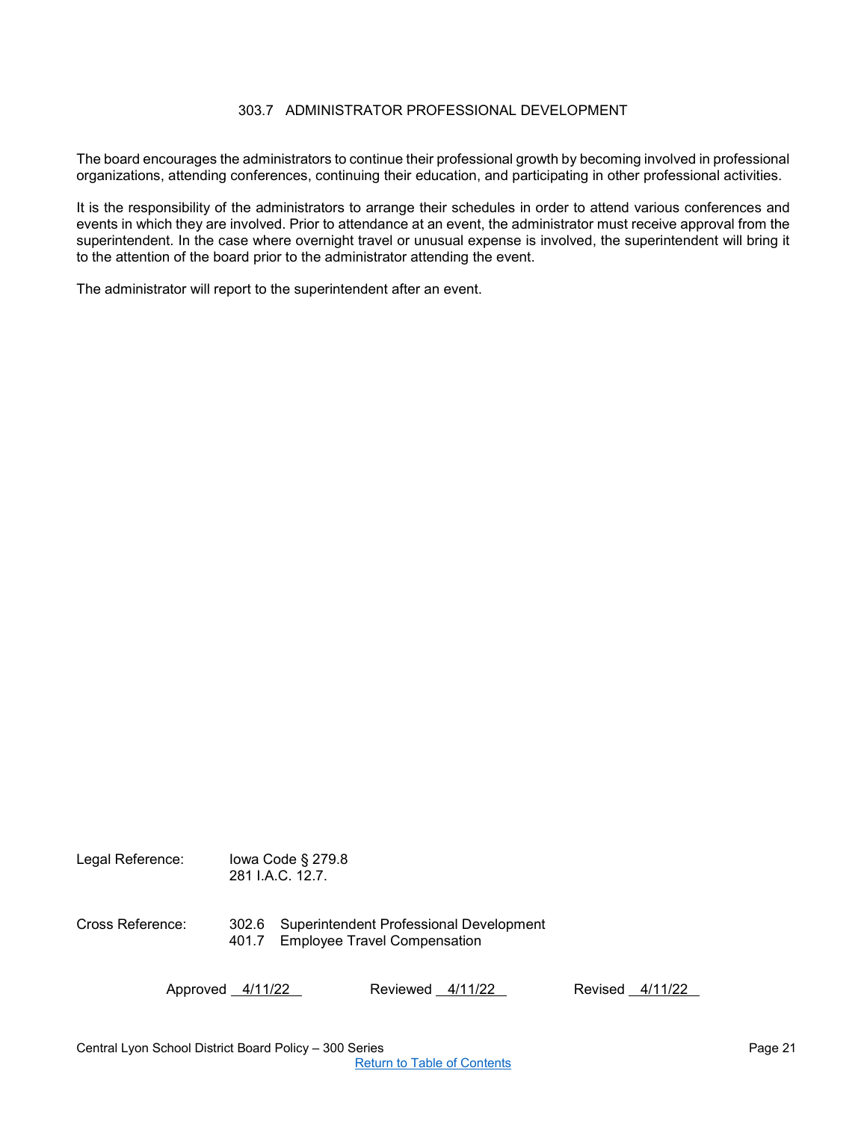## 303.7 ADMINISTRATOR PROFESSIONAL DEVELOPMENT

<span id="page-20-0"></span>The board encourages the administrators to continue their professional growth by becoming involved in professional organizations, attending conferences, continuing their education, and participating in other professional activities.

It is the responsibility of the administrators to arrange their schedules in order to attend various conferences and events in which they are involved. Prior to attendance at an event, the administrator must receive approval from the superintendent. In the case where overnight travel or unusual expense is involved, the superintendent will bring it to the attention of the board prior to the administrator attending the event.

The administrator will report to the superintendent after an event.

| Legal Reference: |                | lowa Code $\S$ 279.8<br>281 J.A.C. 12.7.                                |         |         |
|------------------|----------------|-------------------------------------------------------------------------|---------|---------|
| Cross Reference: | 302.6<br>401.7 | Superintendent Professional Development<br>Employee Travel Compensation |         |         |
| Approved 4/11/22 |                | Reviewed<br>4/11/22                                                     | Revised | 4/11/22 |

Central Lyon School District Board Policy – 300 Series Page 21 [Return to Table of Contents](#page-0-0)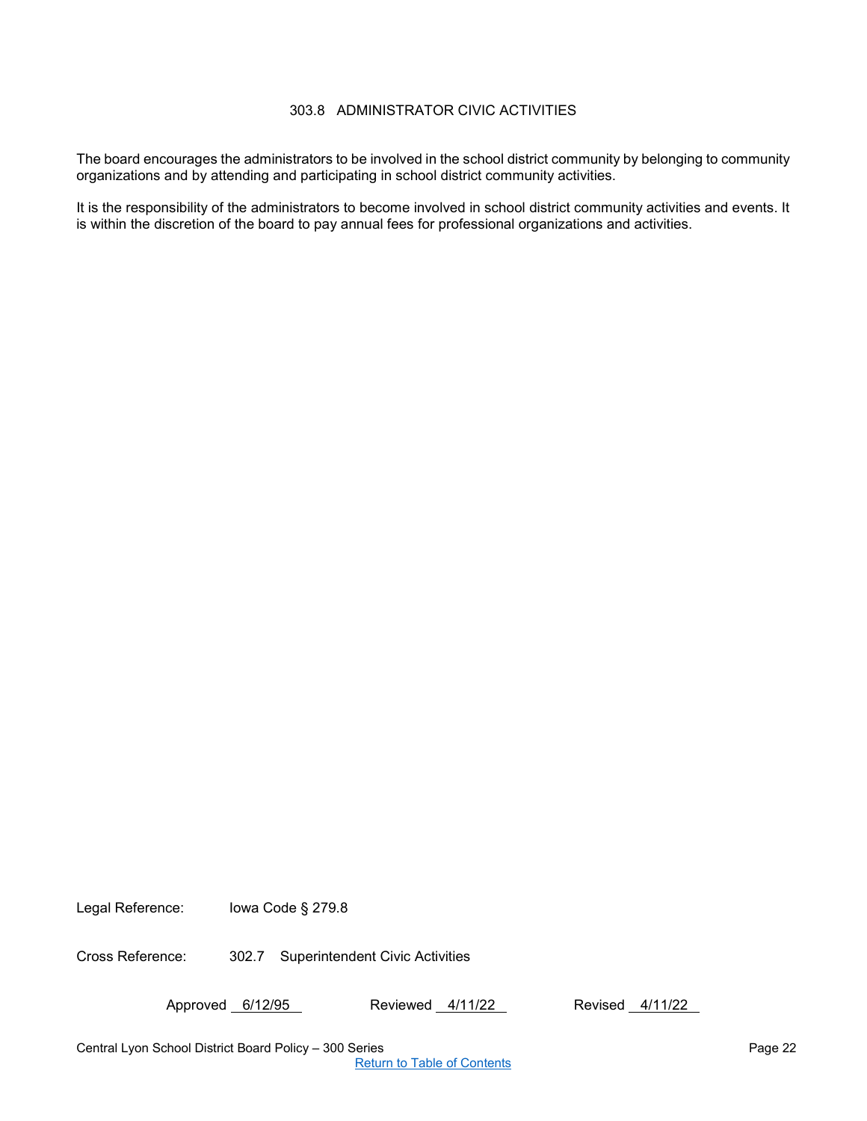## 303.8 ADMINISTRATOR CIVIC ACTIVITIES

The board encourages the administrators to be involved in the school district community by belonging to community organizations and by attending and participating in school district community activities.

It is the responsibility of the administrators to become involved in school district community activities and events. It is within the discretion of the board to pay annual fees for professional organizations and activities.

Legal Reference: Iowa Code § 279.8

Cross Reference: 302.7 Superintendent Civic Activities

Approved 6/12/95 Reviewed 4/11/22 Revised 4/11/22

Central Lyon School District Board Policy – 300 Series Page 22

[Return to Table of Contents](#page-0-0)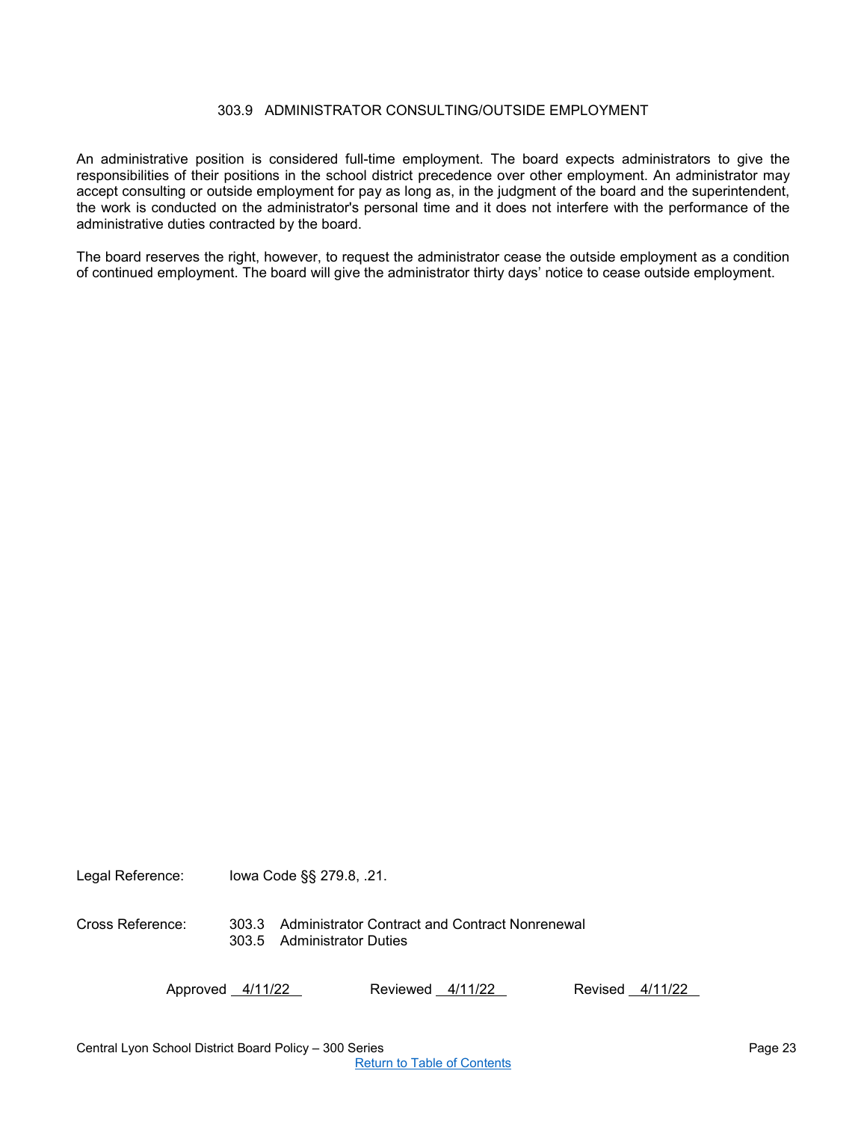## 303.9 ADMINISTRATOR CONSULTING/OUTSIDE EMPLOYMENT

<span id="page-22-0"></span>An administrative position is considered full-time employment. The board expects administrators to give the responsibilities of their positions in the school district precedence over other employment. An administrator may accept consulting or outside employment for pay as long as, in the judgment of the board and the superintendent, the work is conducted on the administrator's personal time and it does not interfere with the performance of the administrative duties contracted by the board.

The board reserves the right, however, to request the administrator cease the outside employment as a condition of continued employment. The board will give the administrator thirty days' notice to cease outside employment.

Legal Reference: Iowa Code §§ 279.8, .21.

Cross Reference: 303.3 Administrator Contract and Contract Nonrenewal 303.5 Administrator Duties

Approved 4/11/22 Reviewed 4/11/22 Revised 4/11/22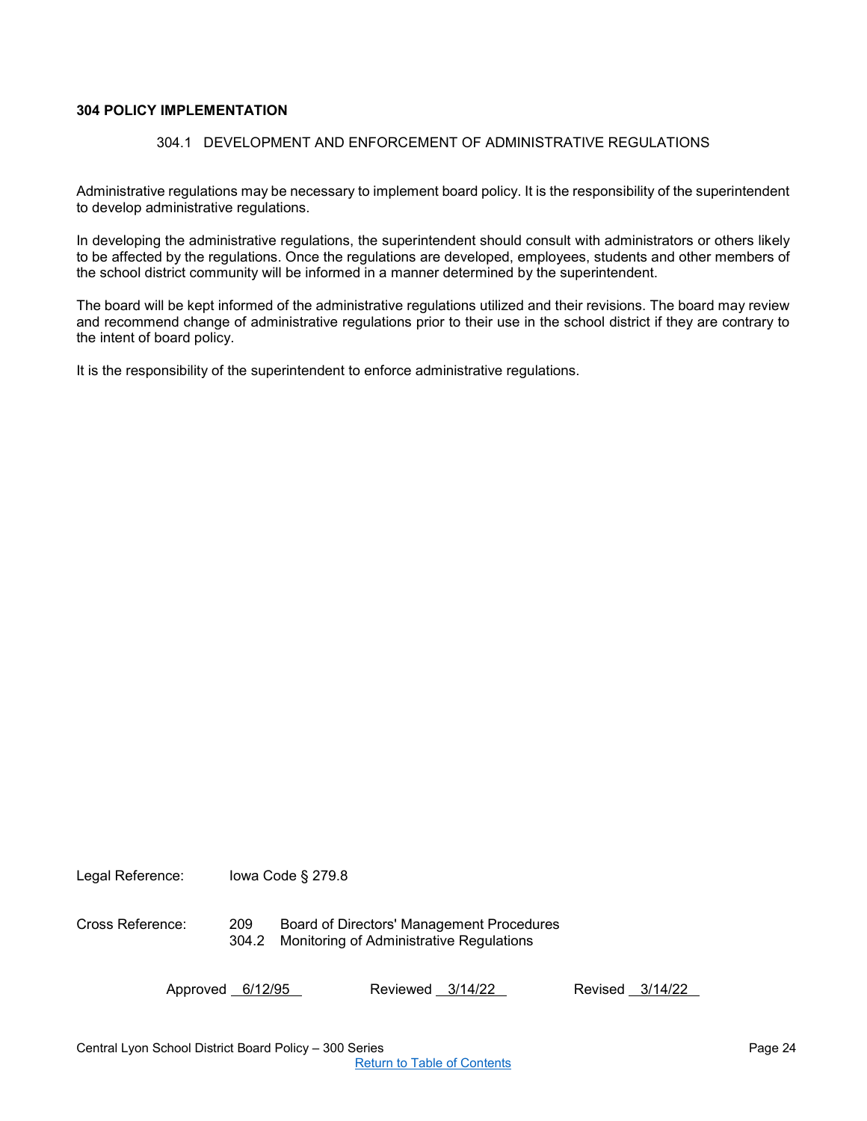## <span id="page-23-1"></span><span id="page-23-0"></span>**304 POLICY IMPLEMENTATION**

## 304.1 DEVELOPMENT AND ENFORCEMENT OF ADMINISTRATIVE REGULATIONS

Administrative regulations may be necessary to implement board policy. It is the responsibility of the superintendent to develop administrative regulations.

In developing the administrative regulations, the superintendent should consult with administrators or others likely to be affected by the regulations. Once the regulations are developed, employees, students and other members of the school district community will be informed in a manner determined by the superintendent.

The board will be kept informed of the administrative regulations utilized and their revisions. The board may review and recommend change of administrative regulations prior to their use in the school district if they are contrary to the intent of board policy.

It is the responsibility of the superintendent to enforce administrative regulations.

Legal Reference: Iowa Code § 279.8

Cross Reference: 209 Board of Directors' Management Procedures 304.2 Monitoring of Administrative Regulations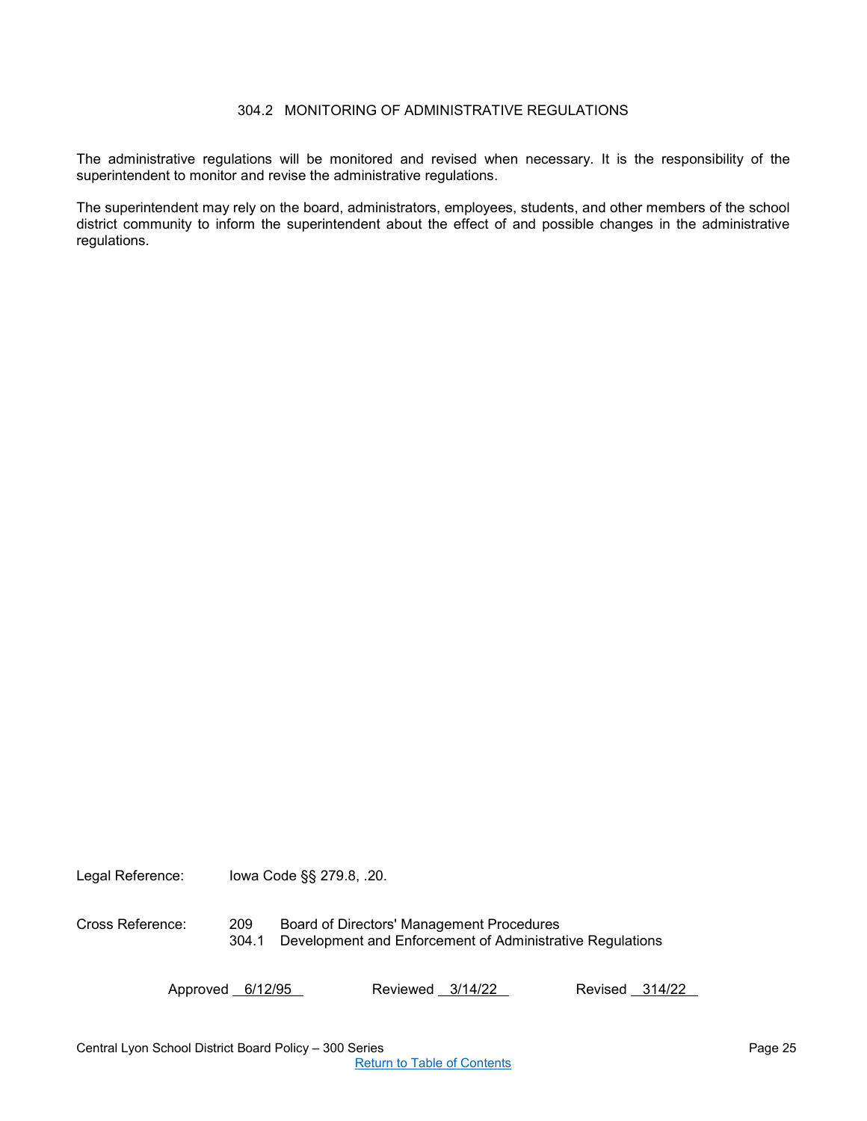## 304.2 MONITORING OF ADMINISTRATIVE REGULATIONS

<span id="page-24-0"></span>The administrative regulations will be monitored and revised when necessary. It is the responsibility of the superintendent to monitor and revise the administrative regulations.

The superintendent may rely on the board, administrators, employees, students, and other members of the school district community to inform the superintendent about the effect of and possible changes in the administrative regulations.

Legal Reference: Iowa Code §§ 279.8, .20.

Cross Reference: 209 Board of Directors' Management Procedures 304.1 Development and Enforcement of Administrative Regulations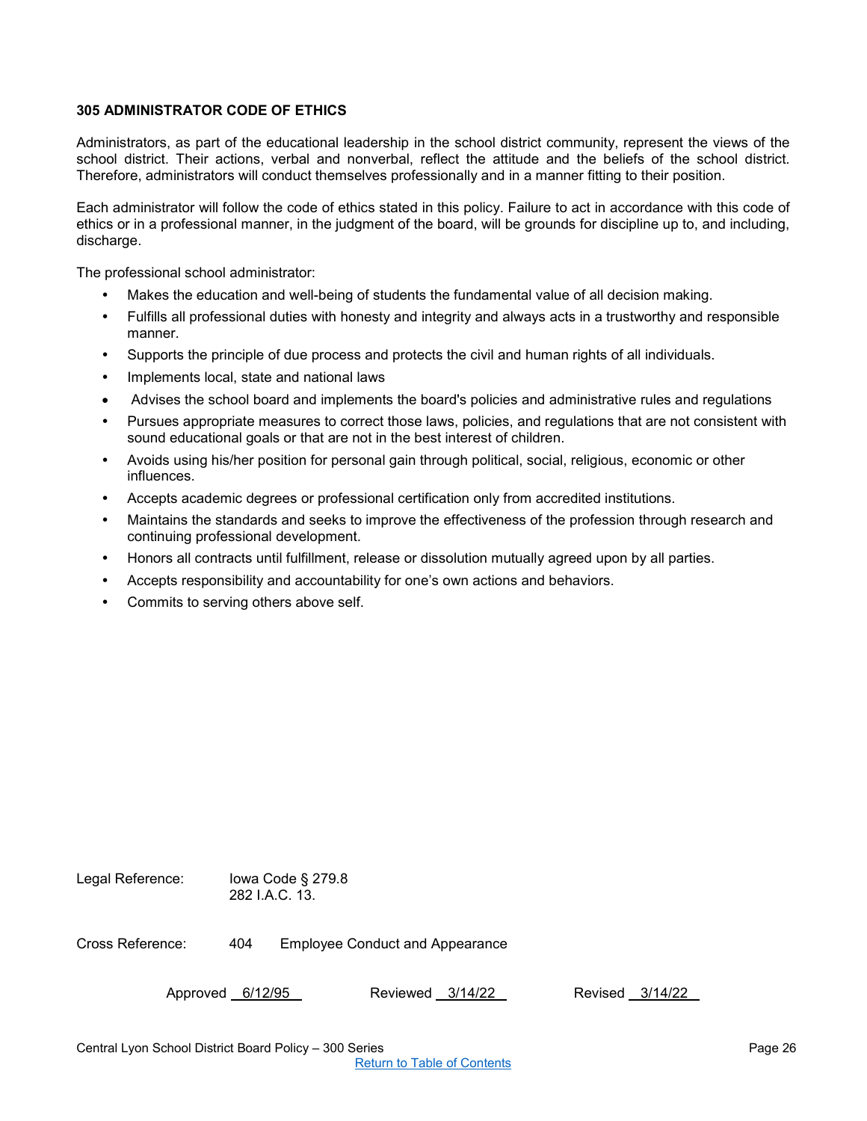## <span id="page-25-0"></span>**305 ADMINISTRATOR CODE OF ETHICS**

Administrators, as part of the educational leadership in the school district community, represent the views of the school district. Their actions, verbal and nonverbal, reflect the attitude and the beliefs of the school district. Therefore, administrators will conduct themselves professionally and in a manner fitting to their position.

Each administrator will follow the code of ethics stated in this policy. Failure to act in accordance with this code of ethics or in a professional manner, in the judgment of the board, will be grounds for discipline up to, and including, discharge.

The professional school administrator:

- Makes the education and well-being of students the fundamental value of all decision making.
- Fulfills all professional duties with honesty and integrity and always acts in a trustworthy and responsible manner.
- Supports the principle of due process and protects the civil and human rights of all individuals.
- Implements local, state and national laws
- Advises the school board and implements the board's policies and administrative rules and regulations
- Pursues appropriate measures to correct those laws, policies, and regulations that are not consistent with sound educational goals or that are not in the best interest of children.
- Avoids using his/her position for personal gain through political, social, religious, economic or other influences.
- Accepts academic degrees or professional certification only from accredited institutions.
- Maintains the standards and seeks to improve the effectiveness of the profession through research and continuing professional development.
- Honors all contracts until fulfillment, release or dissolution mutually agreed upon by all parties.
- Accepts responsibility and accountability for one's own actions and behaviors.
- Commits to serving others above self.

Legal Reference: Iowa Code § 279.8 282 I.A.C. 13. Cross Reference: 404 Employee Conduct and Appearance